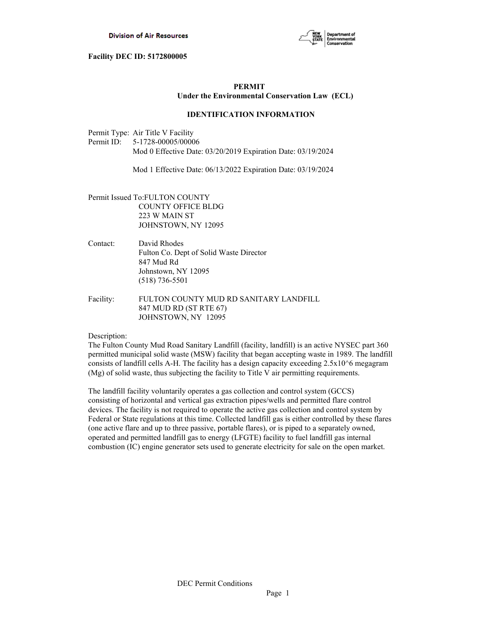

# **PERMIT Under the Environmental Conservation Law (ECL)**

# **IDENTIFICATION INFORMATION**

Permit Type: Air Title V Facility Permit ID: 5-1728-00005/00006 Mod 0 Effective Date: 03/20/2019 Expiration Date: 03/19/2024

Mod 1 Effective Date: 06/13/2022 Expiration Date: 03/19/2024

- Permit Issued To:FULTON COUNTY COUNTY OFFICE BLDG 223 W MAIN ST JOHNSTOWN, NY 12095
- Contact: David Rhodes Fulton Co. Dept of Solid Waste Director 847 Mud Rd Johnstown, NY 12095 (518) 736-5501
- Facility: FULTON COUNTY MUD RD SANITARY LANDFILL 847 MUD RD (ST RTE 67) JOHNSTOWN, NY 12095

# Description:

The Fulton County Mud Road Sanitary Landfill (facility, landfill) is an active NYSEC part 360 permitted municipal solid waste (MSW) facility that began accepting waste in 1989. The landfill consists of landfill cells A-H. The facility has a design capacity exceeding  $2.5x10^6$  megagram (Mg) of solid waste, thus subjecting the facility to Title V air permitting requirements.

The landfill facility voluntarily operates a gas collection and control system (GCCS) consisting of horizontal and vertical gas extraction pipes/wells and permitted flare control devices. The facility is not required to operate the active gas collection and control system by Federal or State regulations at this time. Collected landfill gas is either controlled by these flares (one active flare and up to three passive, portable flares), or is piped to a separately owned, operated and permitted landfill gas to energy (LFGTE) facility to fuel landfill gas internal combustion (IC) engine generator sets used to generate electricity for sale on the open market.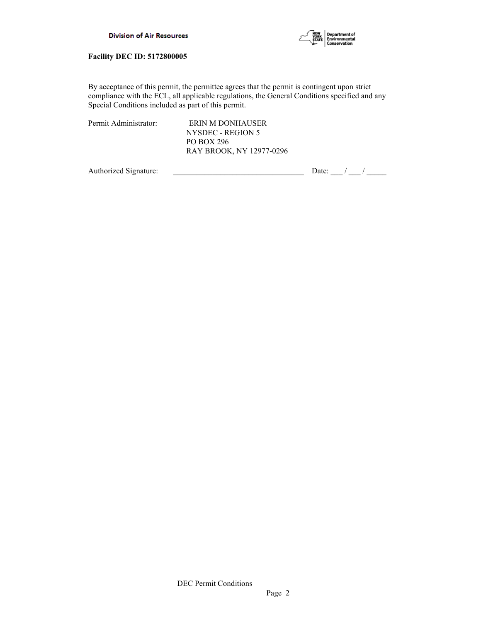



By acceptance of this permit, the permittee agrees that the permit is contingent upon strict compliance with the ECL, all applicable regulations, the General Conditions specified and any Special Conditions included as part of this permit.

|--|

ERIN M DONHAUSER NYSDEC - REGION 5 PO BOX 296 RAY BROOK, NY 12977-0296

Authorized Signature:  $\frac{1}{2}$  Date:  $\frac{1}{2}$  Date:  $\frac{1}{2}$  /  $\frac{1}{2}$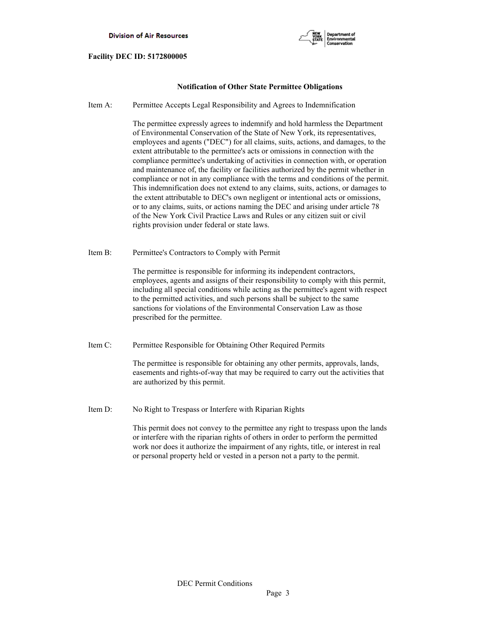

# **Notification of Other State Permittee Obligations**

Item A: Permittee Accepts Legal Responsibility and Agrees to Indemnification

 The permittee expressly agrees to indemnify and hold harmless the Department of Environmental Conservation of the State of New York, its representatives, employees and agents ("DEC") for all claims, suits, actions, and damages, to the extent attributable to the permittee's acts or omissions in connection with the compliance permittee's undertaking of activities in connection with, or operation and maintenance of, the facility or facilities authorized by the permit whether in compliance or not in any compliance with the terms and conditions of the permit. This indemnification does not extend to any claims, suits, actions, or damages to the extent attributable to DEC's own negligent or intentional acts or omissions, or to any claims, suits, or actions naming the DEC and arising under article 78 of the New York Civil Practice Laws and Rules or any citizen suit or civil rights provision under federal or state laws.

Item B: Permittee's Contractors to Comply with Permit

 The permittee is responsible for informing its independent contractors, employees, agents and assigns of their responsibility to comply with this permit, including all special conditions while acting as the permittee's agent with respect to the permitted activities, and such persons shall be subject to the same sanctions for violations of the Environmental Conservation Law as those prescribed for the permittee.

Item C: Permittee Responsible for Obtaining Other Required Permits

 The permittee is responsible for obtaining any other permits, approvals, lands, easements and rights-of-way that may be required to carry out the activities that are authorized by this permit.

Item D: No Right to Trespass or Interfere with Riparian Rights

 This permit does not convey to the permittee any right to trespass upon the lands or interfere with the riparian rights of others in order to perform the permitted work nor does it authorize the impairment of any rights, title, or interest in real or personal property held or vested in a person not a party to the permit.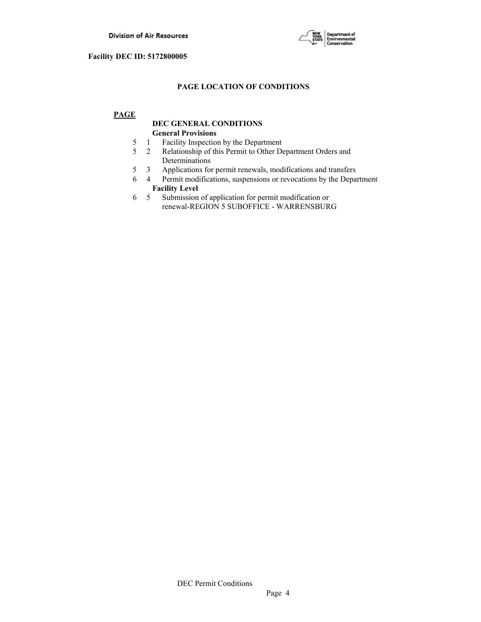

# **PAGE LOCATION OF CONDITIONS**

# **PAGE**

# **DEC GENERAL CONDITIONS General Provisions**

- 5 1 Facility Inspection by the Department
- 5 2 Relationship of this Permit to Other Department Orders and Determinations
- 5 3 Applications for permit renewals, modifications and transfers
- 6 4 Permit modifications, suspensions or revocations by the Department  **Facility Level**
- 6 5 Submission of application for permit modification or renewal-REGION 5 SUBOFFICE - WARRENSBURG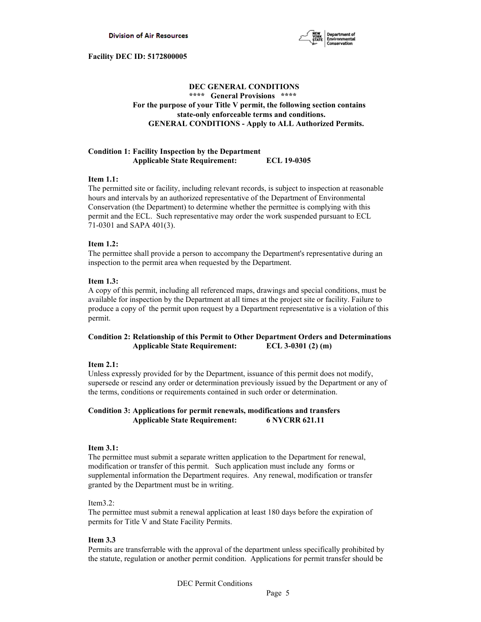

# **DEC GENERAL CONDITIONS \*\*\*\* General Provisions \*\*\*\* For the purpose of your Title V permit, the following section contains state-only enforceable terms and conditions. GENERAL CONDITIONS - Apply to ALL Authorized Permits.**

# **Condition 1: Facility Inspection by the Department Applicable State Requirement: ECL 19-0305**

# **Item 1.1:**

The permitted site or facility, including relevant records, is subject to inspection at reasonable hours and intervals by an authorized representative of the Department of Environmental Conservation (the Department) to determine whether the permittee is complying with this permit and the ECL. Such representative may order the work suspended pursuant to ECL 71-0301 and SAPA 401(3).

# **Item 1.2:**

The permittee shall provide a person to accompany the Department's representative during an inspection to the permit area when requested by the Department.

# **Item 1.3:**

A copy of this permit, including all referenced maps, drawings and special conditions, must be available for inspection by the Department at all times at the project site or facility. Failure to produce a copy of the permit upon request by a Department representative is a violation of this permit.

# **Condition 2: Relationship of this Permit to Other Department Orders and Determinations Applicable State Requirement: ECL 3-0301 (2) (m)**

# **Item 2.1:**

Unless expressly provided for by the Department, issuance of this permit does not modify, supersede or rescind any order or determination previously issued by the Department or any of the terms, conditions or requirements contained in such order or determination.

# **Condition 3: Applications for permit renewals, modifications and transfers Applicable State Requirement: 6 NYCRR 621.11**

# **Item 3.1:**

The permittee must submit a separate written application to the Department for renewal, modification or transfer of this permit. Such application must include any forms or supplemental information the Department requires. Any renewal, modification or transfer granted by the Department must be in writing.

# Item3.2:

The permittee must submit a renewal application at least 180 days before the expiration of permits for Title V and State Facility Permits.

# **Item 3.3**

Permits are transferrable with the approval of the department unless specifically prohibited by the statute, regulation or another permit condition. Applications for permit transfer should be

DEC Permit Conditions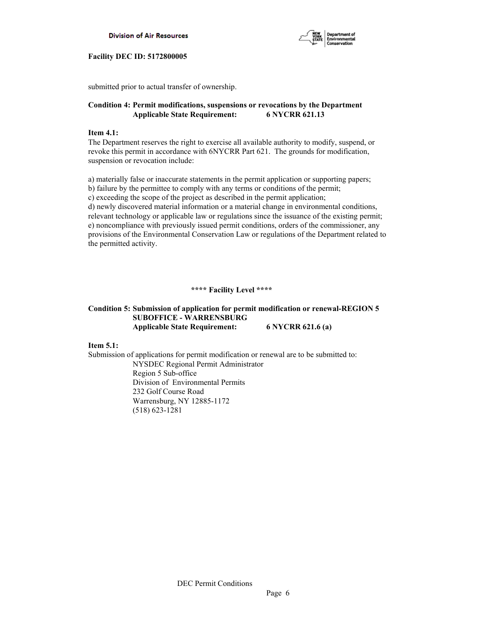



submitted prior to actual transfer of ownership.

# **Condition 4: Permit modifications, suspensions or revocations by the Department Applicable State Requirement: 6 NYCRR 621.13**

# **Item 4.1:**

The Department reserves the right to exercise all available authority to modify, suspend, or revoke this permit in accordance with 6NYCRR Part 621. The grounds for modification, suspension or revocation include:

a) materially false or inaccurate statements in the permit application or supporting papers; b) failure by the permittee to comply with any terms or conditions of the permit; c) exceeding the scope of the project as described in the permit application; d) newly discovered material information or a material change in environmental conditions, relevant technology or applicable law or regulations since the issuance of the existing permit; e) noncompliance with previously issued permit conditions, orders of the commissioner, any provisions of the Environmental Conservation Law or regulations of the Department related to the permitted activity.

# **\*\*\*\* Facility Level \*\*\*\***

# **Condition 5: Submission of application for permit modification or renewal-REGION 5 SUBOFFICE - WARRENSBURG Applicable State Requirement: 6 NYCRR 621.6 (a)**

**Item 5.1:**

Submission of applications for permit modification or renewal are to be submitted to: NYSDEC Regional Permit Administrator Region 5 Sub-office Division of Environmental Permits 232 Golf Course Road Warrensburg, NY 12885-1172 (518) 623-1281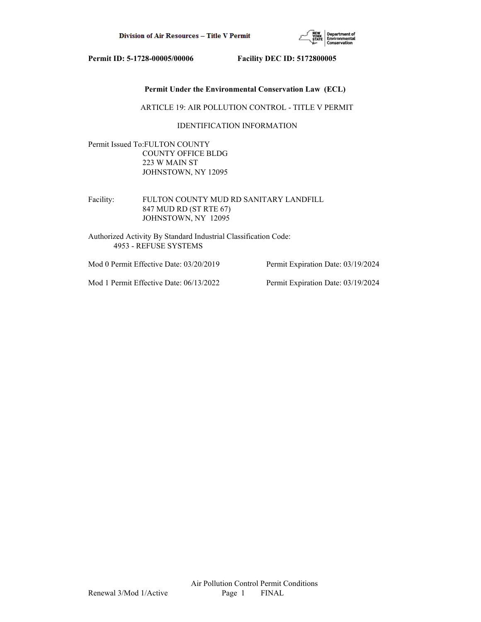

# **Permit Under the Environmental Conservation Law (ECL)**

ARTICLE 19: AIR POLLUTION CONTROL - TITLE V PERMIT

# IDENTIFICATION INFORMATION

Permit Issued To:FULTON COUNTY COUNTY OFFICE BLDG 223 W MAIN ST JOHNSTOWN, NY 12095

Facility: FULTON COUNTY MUD RD SANITARY LANDFILL 847 MUD RD (ST RTE 67) JOHNSTOWN, NY 12095

Authorized Activity By Standard Industrial Classification Code: 4953 - REFUSE SYSTEMS

Mod 0 Permit Effective Date: 03/20/2019 Permit Expiration Date: 03/19/2024

Mod 1 Permit Effective Date: 06/13/2022 Permit Expiration Date: 03/19/2024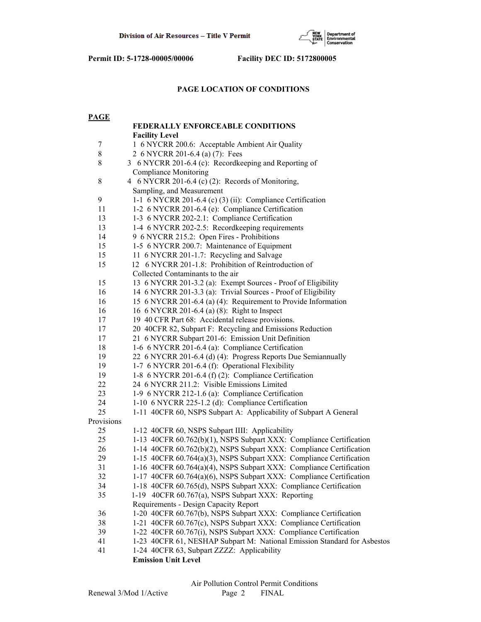

# **PAGE LOCATION OF CONDITIONS**

| <b>PAGE</b> |                                                                                                                 |  |
|-------------|-----------------------------------------------------------------------------------------------------------------|--|
|             | FEDERALLY ENFORCEABLE CONDITIONS                                                                                |  |
|             | <b>Facility Level</b>                                                                                           |  |
| 7           | 1 6 NYCRR 200.6: Acceptable Ambient Air Quality                                                                 |  |
| 8           | 2 6 NYCRR 201-6.4 (a) (7): Fees                                                                                 |  |
| 8           | 3 6 NYCRR 201-6.4 (c): Recordkeeping and Reporting of                                                           |  |
|             | <b>Compliance Monitoring</b>                                                                                    |  |
| $\,$ 8 $\,$ | 4 6 NYCRR 201-6.4 (c) (2): Records of Monitoring,                                                               |  |
|             | Sampling, and Measurement                                                                                       |  |
| 9           | 1-1 6 NYCRR 201-6.4 (c) (3) (ii): Compliance Certification                                                      |  |
| 11          | 1-2 6 NYCRR 201-6.4 (e): Compliance Certification                                                               |  |
| 13          | 1-3 6 NYCRR 202-2.1: Compliance Certification                                                                   |  |
| 13          | 1-4 6 NYCRR 202-2.5: Recordkeeping requirements                                                                 |  |
| 14          | 9 6 NYCRR 215.2: Open Fires - Prohibitions                                                                      |  |
| 15          | 1-5 6 NYCRR 200.7: Maintenance of Equipment                                                                     |  |
| 15          | 11 6 NYCRR 201-1.7: Recycling and Salvage                                                                       |  |
| 15          | 12 6 NYCRR 201-1.8: Prohibition of Reintroduction of                                                            |  |
|             | Collected Contaminants to the air                                                                               |  |
| 15          | 13 6 NYCRR 201-3.2 (a): Exempt Sources - Proof of Eligibility                                                   |  |
| 16          | 14 6 NYCRR 201-3.3 (a): Trivial Sources - Proof of Eligibility                                                  |  |
| 16          | 15 6 NYCRR 201-6.4 (a) (4): Requirement to Provide Information                                                  |  |
| 16          | 16 6 NYCRR 201-6.4 (a) (8): Right to Inspect                                                                    |  |
| 17          | 19 40 CFR Part 68: Accidental release provisions.                                                               |  |
| 17<br>17    | 20 40CFR 82, Subpart F: Recycling and Emissions Reduction<br>21 6 NYCRR Subpart 201-6: Emission Unit Definition |  |
| 18          | 1-6 6 NYCRR 201-6.4 (a): Compliance Certification                                                               |  |
| 19          | 22 6 NYCRR 201-6.4 (d) (4): Progress Reports Due Semiannually                                                   |  |
| 19          | 1-7 6 NYCRR 201-6.4 (f): Operational Flexibility                                                                |  |
| 19          | 1-8 6 NYCRR 201-6.4 (f) (2): Compliance Certification                                                           |  |
| 22          | 24 6 NYCRR 211.2: Visible Emissions Limited                                                                     |  |
| 23          | 1-9 6 NYCRR 212-1.6 (a): Compliance Certification                                                               |  |
| 24          | 1-10 6 NYCRR 225-1.2 (d): Compliance Certification                                                              |  |
| 25          | 1-11 40CFR 60, NSPS Subpart A: Applicability of Subpart A General                                               |  |
| Provisions  |                                                                                                                 |  |
| 25          | 1-12 40CFR 60, NSPS Subpart IIII: Applicability                                                                 |  |
| 25          | 1-13 40CFR 60.762(b)(1), NSPS Subpart XXX: Compliance Certification                                             |  |
| 26          | 1-14 40CFR 60.762(b)(2), NSPS Subpart XXX: Compliance Certification                                             |  |
| 29          | 1-15 40CFR 60.764(a)(3), NSPS Subpart XXX: Compliance Certification                                             |  |
| 31          | 1-16 40CFR 60.764(a)(4), NSPS Subpart XXX: Compliance Certification                                             |  |
| 32          | 1-17 40CFR 60.764(a)(6), NSPS Subpart XXX: Compliance Certification                                             |  |
| 34          | 1-18 40CFR 60.765(d), NSPS Subpart XXX: Compliance Certification                                                |  |
| 35          | 1-19 40CFR 60.767(a), NSPS Subpart XXX: Reporting                                                               |  |
|             | Requirements - Design Capacity Report                                                                           |  |
| 36          | 1-20 40CFR 60.767(b), NSPS Subpart XXX: Compliance Certification                                                |  |
| 38          | 1-21 40CFR 60.767(c), NSPS Subpart XXX: Compliance Certification                                                |  |
| 39          | 1-22 40CFR 60.767(i), NSPS Subpart XXX: Compliance Certification                                                |  |
| 41          | 1-23 40CFR 61, NESHAP Subpart M: National Emission Standard for Asbestos                                        |  |
| 41          | 1-24 40CFR 63, Subpart ZZZZ: Applicability                                                                      |  |
|             | <b>Emission Unit Level</b>                                                                                      |  |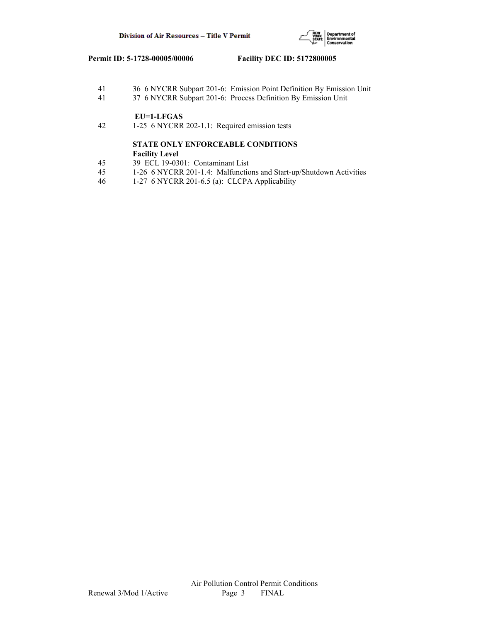

- 41 36 6 NYCRR Subpart 201-6: Emission Point Definition By Emission Unit
- 41 37 6 NYCRR Subpart 201-6: Process Definition By Emission Unit

# **EU=1-LFGAS**<br>42 1-25 6 NYCRR

42 1-25 6 NYCRR 202-1.1: Required emission tests

# **STATE ONLY ENFORCEABLE CONDITIONS Facility Level**

- 45 39 ECL 19-0301: Contaminant List
- 45 1-26 6 NYCRR 201-1.4: Malfunctions and Start-up/Shutdown Activities
- 46 1-27 6 NYCRR 201-6.5 (a): CLCPA Applicability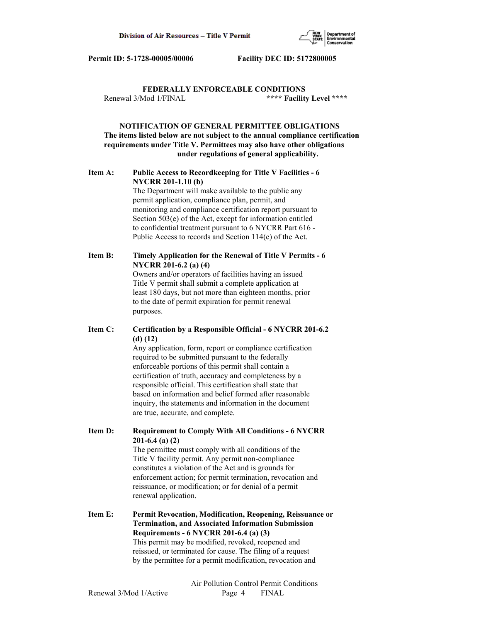

 **FEDERALLY ENFORCEABLE CONDITIONS** Renewal 3/Mod 1/FINAL **\*\*\*\* Facility Level \*\*\*\***

 **NOTIFICATION OF GENERAL PERMITTEE OBLIGATIONS The items listed below are not subject to the annual compliance certification requirements under Title V. Permittees may also have other obligations under regulations of general applicability.**

# **Item A: Public Access to Recordkeeping for Title V Facilities - 6 NYCRR 201-1.10 (b)**

 The Department will make available to the public any permit application, compliance plan, permit, and monitoring and compliance certification report pursuant to Section 503(e) of the Act, except for information entitled to confidential treatment pursuant to 6 NYCRR Part 616 - Public Access to records and Section 114(c) of the Act.

# **Item B: Timely Application for the Renewal of Title V Permits - 6 NYCRR 201-6.2 (a) (4)**

 Owners and/or operators of facilities having an issued Title V permit shall submit a complete application at least 180 days, but not more than eighteen months, prior to the date of permit expiration for permit renewal purposes.

# **Item C: Certification by a Responsible Official - 6 NYCRR 201-6.2 (d) (12)**

 Any application, form, report or compliance certification required to be submitted pursuant to the federally enforceable portions of this permit shall contain a certification of truth, accuracy and completeness by a responsible official. This certification shall state that based on information and belief formed after reasonable inquiry, the statements and information in the document are true, accurate, and complete.

**Item D: Requirement to Comply With All Conditions - 6 NYCRR 201-6.4 (a) (2)**

 The permittee must comply with all conditions of the Title V facility permit. Any permit non-compliance constitutes a violation of the Act and is grounds for enforcement action; for permit termination, revocation and reissuance, or modification; or for denial of a permit renewal application.

**Item E: Permit Revocation, Modification, Reopening, Reissuance or Termination, and Associated Information Submission Requirements - 6 NYCRR 201-6.4 (a) (3)** This permit may be modified, revoked, reopened and reissued, or terminated for cause. The filing of a request by the permittee for a permit modification, revocation and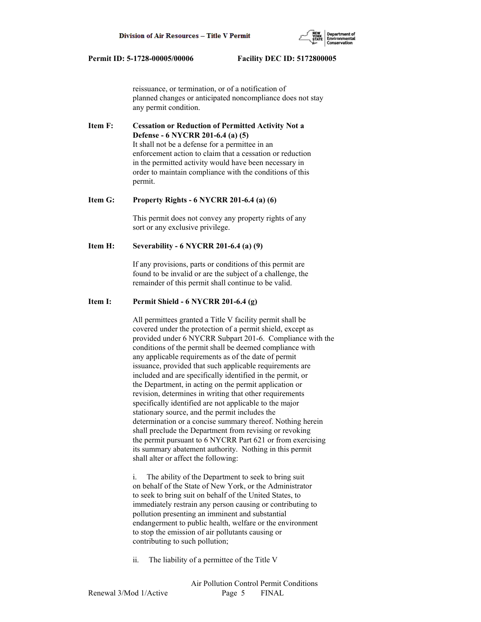reissuance, or termination, or of a notification of planned changes or anticipated noncompliance does not stay any permit condition.

**Item F: Cessation or Reduction of Permitted Activity Not a Defense - 6 NYCRR 201-6.4 (a) (5)** It shall not be a defense for a permittee in an enforcement action to claim that a cessation or reduction in the permitted activity would have been necessary in order to maintain compliance with the conditions of this permit.

# **Item G: Property Rights - 6 NYCRR 201-6.4 (a) (6)**

 This permit does not convey any property rights of any sort or any exclusive privilege.

#### **Item H: Severability - 6 NYCRR 201-6.4 (a) (9)**

 If any provisions, parts or conditions of this permit are found to be invalid or are the subject of a challenge, the remainder of this permit shall continue to be valid.

#### **Item I: Permit Shield - 6 NYCRR 201-6.4 (g)**

 All permittees granted a Title V facility permit shall be covered under the protection of a permit shield, except as provided under 6 NYCRR Subpart 201-6. Compliance with the conditions of the permit shall be deemed compliance with any applicable requirements as of the date of permit issuance, provided that such applicable requirements are included and are specifically identified in the permit, or the Department, in acting on the permit application or revision, determines in writing that other requirements specifically identified are not applicable to the major stationary source, and the permit includes the determination or a concise summary thereof. Nothing herein shall preclude the Department from revising or revoking the permit pursuant to 6 NYCRR Part 621 or from exercising its summary abatement authority. Nothing in this permit shall alter or affect the following:

 i. The ability of the Department to seek to bring suit on behalf of the State of New York, or the Administrator to seek to bring suit on behalf of the United States, to immediately restrain any person causing or contributing to pollution presenting an imminent and substantial endangerment to public health, welfare or the environment to stop the emission of air pollutants causing or contributing to such pollution;

ii. The liability of a permittee of the Title V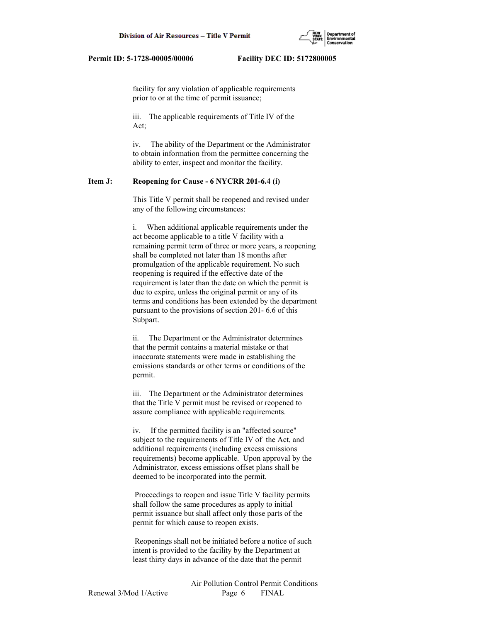

 facility for any violation of applicable requirements prior to or at the time of permit issuance;

 iii. The applicable requirements of Title IV of the Act;

 iv. The ability of the Department or the Administrator to obtain information from the permittee concerning the ability to enter, inspect and monitor the facility.

# **Item J: Reopening for Cause - 6 NYCRR 201-6.4 (i)**

 This Title V permit shall be reopened and revised under any of the following circumstances:

 i. When additional applicable requirements under the act become applicable to a title V facility with a remaining permit term of three or more years, a reopening shall be completed not later than 18 months after promulgation of the applicable requirement. No such reopening is required if the effective date of the requirement is later than the date on which the permit is due to expire, unless the original permit or any of its terms and conditions has been extended by the department pursuant to the provisions of section 201- 6.6 of this Subpart.

 ii. The Department or the Administrator determines that the permit contains a material mistake or that inaccurate statements were made in establishing the emissions standards or other terms or conditions of the permit.

 iii. The Department or the Administrator determines that the Title V permit must be revised or reopened to assure compliance with applicable requirements.

 iv. If the permitted facility is an "affected source" subject to the requirements of Title IV of the Act, and additional requirements (including excess emissions requirements) become applicable. Upon approval by the Administrator, excess emissions offset plans shall be deemed to be incorporated into the permit.

 Proceedings to reopen and issue Title V facility permits shall follow the same procedures as apply to initial permit issuance but shall affect only those parts of the permit for which cause to reopen exists.

 Reopenings shall not be initiated before a notice of such intent is provided to the facility by the Department at least thirty days in advance of the date that the permit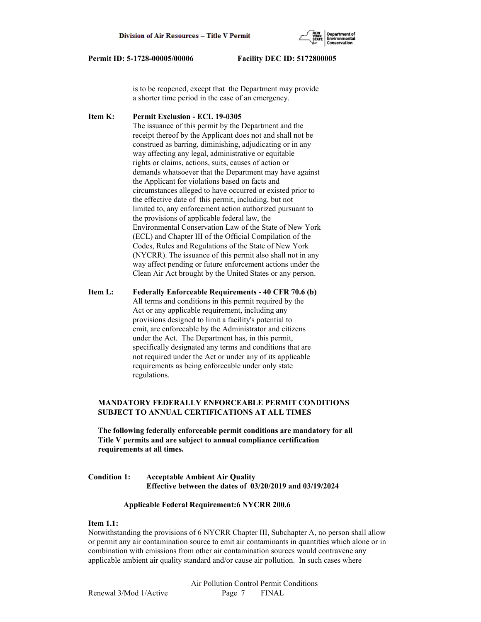

 is to be reopened, except that the Department may provide a shorter time period in the case of an emergency.

**Item K: Permit Exclusion - ECL 19-0305** The issuance of this permit by the Department and the receipt thereof by the Applicant does not and shall not be construed as barring, diminishing, adjudicating or in any way affecting any legal, administrative or equitable rights or claims, actions, suits, causes of action or demands whatsoever that the Department may have against the Applicant for violations based on facts and circumstances alleged to have occurred or existed prior to the effective date of this permit, including, but not limited to, any enforcement action authorized pursuant to the provisions of applicable federal law, the Environmental Conservation Law of the State of New York (ECL) and Chapter III of the Official Compilation of the Codes, Rules and Regulations of the State of New York (NYCRR). The issuance of this permit also shall not in any way affect pending or future enforcement actions under the Clean Air Act brought by the United States or any person.

**Item L: Federally Enforceable Requirements - 40 CFR 70.6 (b)** All terms and conditions in this permit required by the Act or any applicable requirement, including any provisions designed to limit a facility's potential to emit, are enforceable by the Administrator and citizens under the Act. The Department has, in this permit, specifically designated any terms and conditions that are not required under the Act or under any of its applicable requirements as being enforceable under only state regulations.

# **MANDATORY FEDERALLY ENFORCEABLE PERMIT CONDITIONS SUBJECT TO ANNUAL CERTIFICATIONS AT ALL TIMES**

 **The following federally enforceable permit conditions are mandatory for all Title V permits and are subject to annual compliance certification requirements at all times.**

**Condition 1: Acceptable Ambient Air Quality Effective between the dates of 03/20/2019 and 03/19/2024**

# **Applicable Federal Requirement:6 NYCRR 200.6**

#### **Item 1.1:**

Notwithstanding the provisions of 6 NYCRR Chapter III, Subchapter A, no person shall allow or permit any air contamination source to emit air contaminants in quantities which alone or in combination with emissions from other air contamination sources would contravene any applicable ambient air quality standard and/or cause air pollution. In such cases where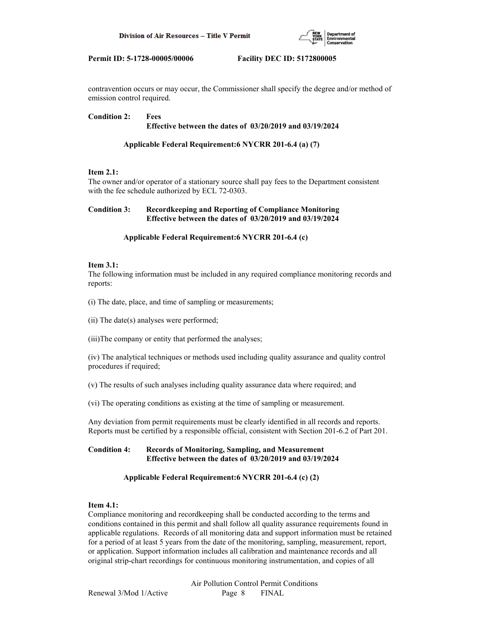

contravention occurs or may occur, the Commissioner shall specify the degree and/or method of emission control required.

# **Condition 2: Fees Effective between the dates of 03/20/2019 and 03/19/2024**

# **Applicable Federal Requirement:6 NYCRR 201-6.4 (a) (7)**

# **Item 2.1:**

The owner and/or operator of a stationary source shall pay fees to the Department consistent with the fee schedule authorized by ECL 72-0303.

# **Condition 3: Recordkeeping and Reporting of Compliance Monitoring Effective between the dates of 03/20/2019 and 03/19/2024**

# **Applicable Federal Requirement:6 NYCRR 201-6.4 (c)**

# **Item 3.1:**

The following information must be included in any required compliance monitoring records and reports:

(i) The date, place, and time of sampling or measurements;

(ii) The date(s) analyses were performed;

(iii)The company or entity that performed the analyses;

(iv) The analytical techniques or methods used including quality assurance and quality control procedures if required;

(v) The results of such analyses including quality assurance data where required; and

(vi) The operating conditions as existing at the time of sampling or measurement.

Any deviation from permit requirements must be clearly identified in all records and reports. Reports must be certified by a responsible official, consistent with Section 201-6.2 of Part 201.

# **Condition 4: Records of Monitoring, Sampling, and Measurement Effective between the dates of 03/20/2019 and 03/19/2024**

# **Applicable Federal Requirement:6 NYCRR 201-6.4 (c) (2)**

# **Item 4.1:**

Compliance monitoring and recordkeeping shall be conducted according to the terms and conditions contained in this permit and shall follow all quality assurance requirements found in applicable regulations. Records of all monitoring data and support information must be retained for a period of at least 5 years from the date of the monitoring, sampling, measurement, report, or application. Support information includes all calibration and maintenance records and all original strip-chart recordings for continuous monitoring instrumentation, and copies of all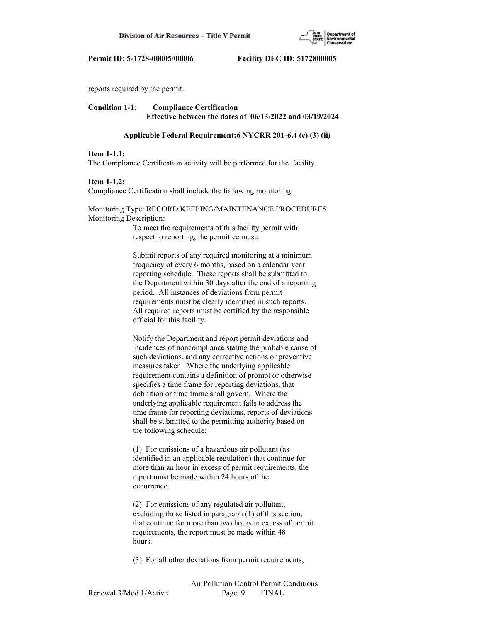

reports required by the permit.

# **Condition 1-1: Compliance Certification Effective between the dates of 06/13/2022 and 03/19/2024**

#### **Applicable Federal Requirement:6 NYCRR 201-6.4 (c) (3) (ii)**

#### **Item 1-1.1:**

The Compliance Certification activity will be performed for the Facility.

#### **Item 1-1.2:**

Compliance Certification shall include the following monitoring:

# Monitoring Type: RECORD KEEPING/MAINTENANCE PROCEDURES Monitoring Description:

 To meet the requirements of this facility permit with respect to reporting, the permittee must:

 Submit reports of any required monitoring at a minimum frequency of every 6 months, based on a calendar year reporting schedule. These reports shall be submitted to the Department within 30 days after the end of a reporting period. All instances of deviations from permit requirements must be clearly identified in such reports. All required reports must be certified by the responsible official for this facility.

 Notify the Department and report permit deviations and incidences of noncompliance stating the probable cause of such deviations, and any corrective actions or preventive measures taken. Where the underlying applicable requirement contains a definition of prompt or otherwise specifies a time frame for reporting deviations, that definition or time frame shall govern. Where the underlying applicable requirement fails to address the time frame for reporting deviations, reports of deviations shall be submitted to the permitting authority based on the following schedule:

 (1) For emissions of a hazardous air pollutant (as identified in an applicable regulation) that continue for more than an hour in excess of permit requirements, the report must be made within 24 hours of the occurrence.

 (2) For emissions of any regulated air pollutant, excluding those listed in paragraph (1) of this section, that continue for more than two hours in excess of permit requirements, the report must be made within 48 hours.

(3) For all other deviations from permit requirements,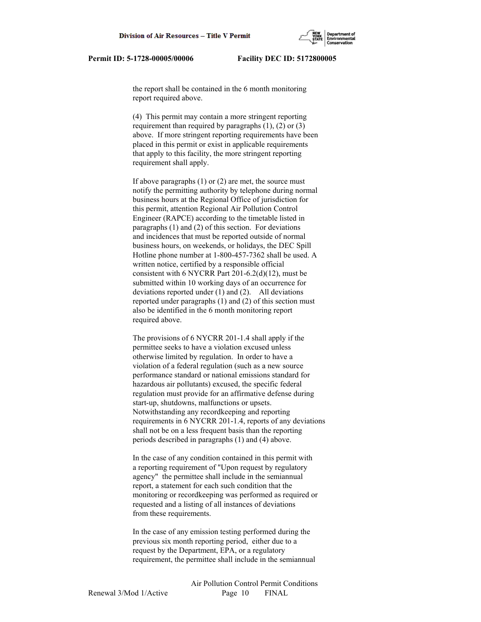the report shall be contained in the 6 month monitoring report required above.

 (4) This permit may contain a more stringent reporting requirement than required by paragraphs  $(1)$ ,  $(2)$  or  $(3)$  above. If more stringent reporting requirements have been placed in this permit or exist in applicable requirements that apply to this facility, the more stringent reporting requirement shall apply.

 If above paragraphs (1) or (2) are met, the source must notify the permitting authority by telephone during normal business hours at the Regional Office of jurisdiction for this permit, attention Regional Air Pollution Control Engineer (RAPCE) according to the timetable listed in paragraphs (1) and (2) of this section. For deviations and incidences that must be reported outside of normal business hours, on weekends, or holidays, the DEC Spill Hotline phone number at 1-800-457-7362 shall be used. A written notice, certified by a responsible official consistent with 6 NYCRR Part 201-6.2(d)(12), must be submitted within 10 working days of an occurrence for deviations reported under (1) and (2). All deviations reported under paragraphs (1) and (2) of this section must also be identified in the 6 month monitoring report required above.

 The provisions of 6 NYCRR 201-1.4 shall apply if the permittee seeks to have a violation excused unless otherwise limited by regulation. In order to have a violation of a federal regulation (such as a new source performance standard or national emissions standard for hazardous air pollutants) excused, the specific federal regulation must provide for an affirmative defense during start-up, shutdowns, malfunctions or upsets. Notwithstanding any recordkeeping and reporting requirements in 6 NYCRR 201-1.4, reports of any deviations shall not be on a less frequent basis than the reporting periods described in paragraphs (1) and (4) above.

 In the case of any condition contained in this permit with a reporting requirement of "Upon request by regulatory agency" the permittee shall include in the semiannual report, a statement for each such condition that the monitoring or recordkeeping was performed as required or requested and a listing of all instances of deviations from these requirements.

 In the case of any emission testing performed during the previous six month reporting period, either due to a request by the Department, EPA, or a regulatory requirement, the permittee shall include in the semiannual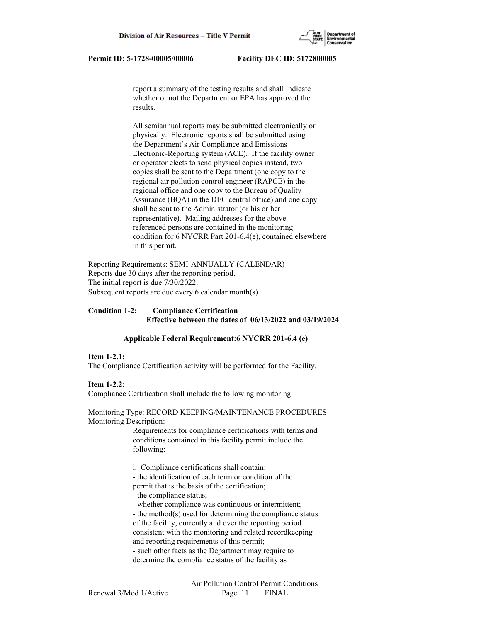report a summary of the testing results and shall indicate whether or not the Department or EPA has approved the results.

 All semiannual reports may be submitted electronically or physically. Electronic reports shall be submitted using the Department's Air Compliance and Emissions Electronic-Reporting system (ACE). If the facility owner or operator elects to send physical copies instead, two copies shall be sent to the Department (one copy to the regional air pollution control engineer (RAPCE) in the regional office and one copy to the Bureau of Quality Assurance (BQA) in the DEC central office) and one copy shall be sent to the Administrator (or his or her representative). Mailing addresses for the above referenced persons are contained in the monitoring condition for 6 NYCRR Part 201-6.4(e), contained elsewhere in this permit.

Reporting Requirements: SEMI-ANNUALLY (CALENDAR) Reports due 30 days after the reporting period. The initial report is due 7/30/2022. Subsequent reports are due every 6 calendar month(s).

# **Condition 1-2: Compliance Certification Effective between the dates of 06/13/2022 and 03/19/2024**

# **Applicable Federal Requirement:6 NYCRR 201-6.4 (e)**

#### **Item 1-2.1:**

The Compliance Certification activity will be performed for the Facility.

# **Item 1-2.2:**

Compliance Certification shall include the following monitoring:

Monitoring Type: RECORD KEEPING/MAINTENANCE PROCEDURES Monitoring Description:

> Requirements for compliance certifications with terms and conditions contained in this facility permit include the following:

i. Compliance certifications shall contain:

 - the identification of each term or condition of the permit that is the basis of the certification;

- the compliance status;

- whether compliance was continuous or intermittent;

 - the method(s) used for determining the compliance status of the facility, currently and over the reporting period consistent with the monitoring and related recordkeeping and reporting requirements of this permit;

 - such other facts as the Department may require to determine the compliance status of the facility as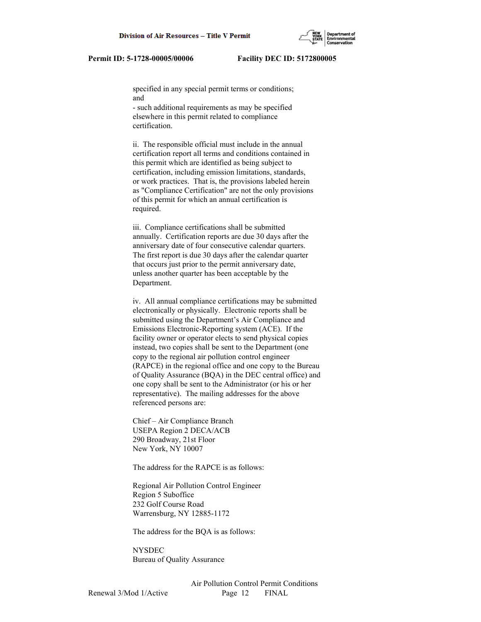specified in any special permit terms or conditions; and

 - such additional requirements as may be specified elsewhere in this permit related to compliance certification.

 ii. The responsible official must include in the annual certification report all terms and conditions contained in this permit which are identified as being subject to certification, including emission limitations, standards, or work practices. That is, the provisions labeled herein as "Compliance Certification" are not the only provisions of this permit for which an annual certification is required.

 iii. Compliance certifications shall be submitted annually. Certification reports are due 30 days after the anniversary date of four consecutive calendar quarters. The first report is due 30 days after the calendar quarter that occurs just prior to the permit anniversary date, unless another quarter has been acceptable by the Department.

 iv. All annual compliance certifications may be submitted electronically or physically. Electronic reports shall be submitted using the Department's Air Compliance and Emissions Electronic-Reporting system (ACE). If the facility owner or operator elects to send physical copies instead, two copies shall be sent to the Department (one copy to the regional air pollution control engineer (RAPCE) in the regional office and one copy to the Bureau of Quality Assurance (BQA) in the DEC central office) and one copy shall be sent to the Administrator (or his or her representative). The mailing addresses for the above referenced persons are:

 Chief – Air Compliance Branch USEPA Region 2 DECA/ACB 290 Broadway, 21st Floor New York, NY 10007

The address for the RAPCE is as follows:

 Regional Air Pollution Control Engineer Region 5 Suboffice 232 Golf Course Road Warrensburg, NY 12885-1172

The address for the BQA is as follows:

 NYSDEC Bureau of Quality Assurance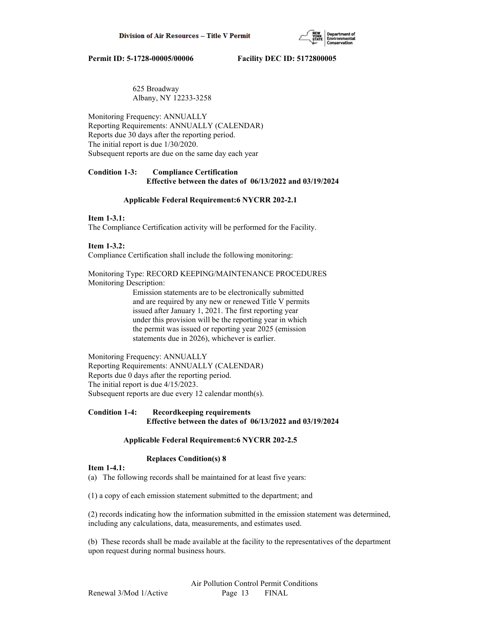

# 625 Broadway Albany, NY 12233-3258

Monitoring Frequency: ANNUALLY Reporting Requirements: ANNUALLY (CALENDAR) Reports due 30 days after the reporting period. The initial report is due 1/30/2020. Subsequent reports are due on the same day each year

# **Condition 1-3: Compliance Certification Effective between the dates of 06/13/2022 and 03/19/2024**

# **Applicable Federal Requirement:6 NYCRR 202-2.1**

# **Item 1-3.1:**

The Compliance Certification activity will be performed for the Facility.

# **Item 1-3.2:**

Compliance Certification shall include the following monitoring:

# Monitoring Type: RECORD KEEPING/MAINTENANCE PROCEDURES Monitoring Description:

 Emission statements are to be electronically submitted and are required by any new or renewed Title V permits issued after January 1, 2021. The first reporting year under this provision will be the reporting year in which the permit was issued or reporting year 2025 (emission statements due in 2026), whichever is earlier.

# Monitoring Frequency: ANNUALLY Reporting Requirements: ANNUALLY (CALENDAR) Reports due 0 days after the reporting period. The initial report is due 4/15/2023. Subsequent reports are due every 12 calendar month(s).

# **Condition 1-4: Recordkeeping requirements Effective between the dates of 06/13/2022 and 03/19/2024**

# **Applicable Federal Requirement:6 NYCRR 202-2.5**

# **Replaces Condition(s) 8**

# **Item 1-4.1:**

(a) The following records shall be maintained for at least five years:

(1) a copy of each emission statement submitted to the department; and

(2) records indicating how the information submitted in the emission statement was determined, including any calculations, data, measurements, and estimates used.

(b) These records shall be made available at the facility to the representatives of the department upon request during normal business hours.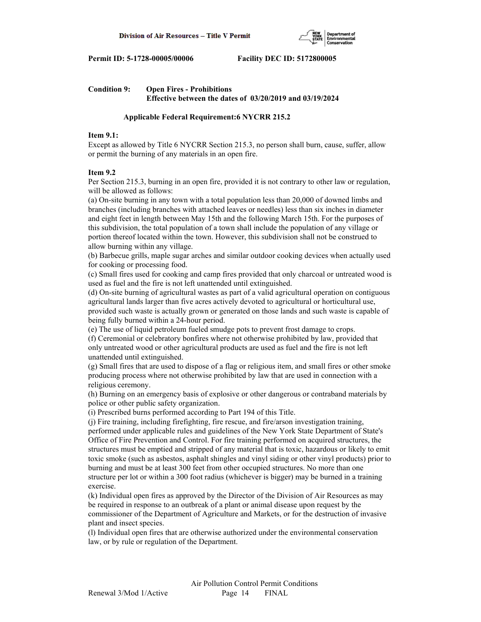

# **Condition 9: Open Fires - Prohibitions Effective between the dates of 03/20/2019 and 03/19/2024**

# **Applicable Federal Requirement:6 NYCRR 215.2**

# **Item 9.1:**

Except as allowed by Title 6 NYCRR Section 215.3, no person shall burn, cause, suffer, allow or permit the burning of any materials in an open fire.

# **Item 9.2**

Per Section 215.3, burning in an open fire, provided it is not contrary to other law or regulation, will be allowed as follows:

(a) On-site burning in any town with a total population less than 20,000 of downed limbs and branches (including branches with attached leaves or needles) less than six inches in diameter and eight feet in length between May 15th and the following March 15th. For the purposes of this subdivision, the total population of a town shall include the population of any village or portion thereof located within the town. However, this subdivision shall not be construed to allow burning within any village.

(b) Barbecue grills, maple sugar arches and similar outdoor cooking devices when actually used for cooking or processing food.

(c) Small fires used for cooking and camp fires provided that only charcoal or untreated wood is used as fuel and the fire is not left unattended until extinguished.

(d) On-site burning of agricultural wastes as part of a valid agricultural operation on contiguous agricultural lands larger than five acres actively devoted to agricultural or horticultural use, provided such waste is actually grown or generated on those lands and such waste is capable of being fully burned within a 24-hour period.

(e) The use of liquid petroleum fueled smudge pots to prevent frost damage to crops.

(f) Ceremonial or celebratory bonfires where not otherwise prohibited by law, provided that only untreated wood or other agricultural products are used as fuel and the fire is not left unattended until extinguished.

(g) Small fires that are used to dispose of a flag or religious item, and small fires or other smoke producing process where not otherwise prohibited by law that are used in connection with a religious ceremony.

(h) Burning on an emergency basis of explosive or other dangerous or contraband materials by police or other public safety organization.

(i) Prescribed burns performed according to Part 194 of this Title.

(j) Fire training, including firefighting, fire rescue, and fire/arson investigation training, performed under applicable rules and guidelines of the New York State Department of State's Office of Fire Prevention and Control. For fire training performed on acquired structures, the structures must be emptied and stripped of any material that is toxic, hazardous or likely to emit toxic smoke (such as asbestos, asphalt shingles and vinyl siding or other vinyl products) prior to burning and must be at least 300 feet from other occupied structures. No more than one structure per lot or within a 300 foot radius (whichever is bigger) may be burned in a training exercise.

(k) Individual open fires as approved by the Director of the Division of Air Resources as may be required in response to an outbreak of a plant or animal disease upon request by the commissioner of the Department of Agriculture and Markets, or for the destruction of invasive plant and insect species.

(l) Individual open fires that are otherwise authorized under the environmental conservation law, or by rule or regulation of the Department.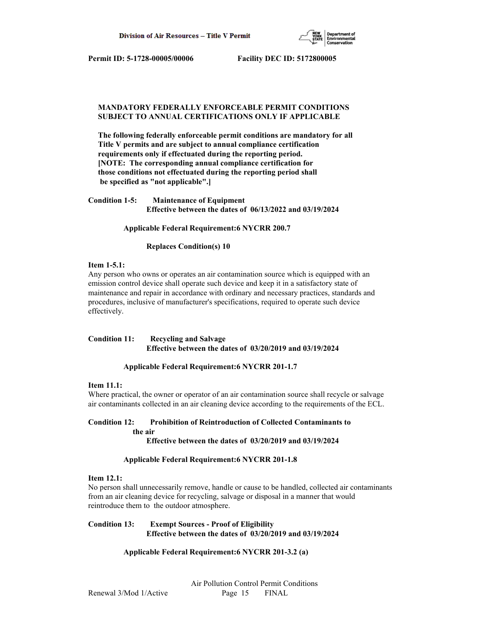

# **MANDATORY FEDERALLY ENFORCEABLE PERMIT CONDITIONS SUBJECT TO ANNUAL CERTIFICATIONS ONLY IF APPLICABLE**

 **The following federally enforceable permit conditions are mandatory for all Title V permits and are subject to annual compliance certification requirements only if effectuated during the reporting period. [NOTE: The corresponding annual compliance certification for those conditions not effectuated during the reporting period shall be specified as "not applicable".]**

| <b>Condition 1-5:</b> | <b>Maintenance of Equipment</b>                              |
|-----------------------|--------------------------------------------------------------|
|                       | Effective between the dates of $06/13/2022$ and $03/19/2024$ |

 **Applicable Federal Requirement:6 NYCRR 200.7**

 **Replaces Condition(s) 10**

# **Item 1-5.1:**

Any person who owns or operates an air contamination source which is equipped with an emission control device shall operate such device and keep it in a satisfactory state of maintenance and repair in accordance with ordinary and necessary practices, standards and procedures, inclusive of manufacturer's specifications, required to operate such device effectively.

# **Condition 11: Recycling and Salvage Effective between the dates of 03/20/2019 and 03/19/2024**

# **Applicable Federal Requirement:6 NYCRR 201-1.7**

# **Item 11.1:**

Where practical, the owner or operator of an air contamination source shall recycle or salvage air contaminants collected in an air cleaning device according to the requirements of the ECL.

# **Condition 12: Prohibition of Reintroduction of Collected Contaminants to the air**

 **Effective between the dates of 03/20/2019 and 03/19/2024**

# **Applicable Federal Requirement:6 NYCRR 201-1.8**

# **Item 12.1:**

No person shall unnecessarily remove, handle or cause to be handled, collected air contaminants from an air cleaning device for recycling, salvage or disposal in a manner that would reintroduce them to the outdoor atmosphere.

# **Condition 13: Exempt Sources - Proof of Eligibility Effective between the dates of 03/20/2019 and 03/19/2024**

# **Applicable Federal Requirement:6 NYCRR 201-3.2 (a)**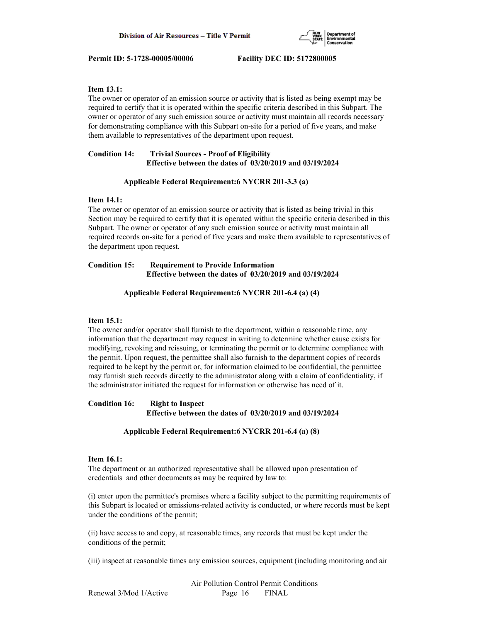

# **Item 13.1:**

The owner or operator of an emission source or activity that is listed as being exempt may be required to certify that it is operated within the specific criteria described in this Subpart. The owner or operator of any such emission source or activity must maintain all records necessary for demonstrating compliance with this Subpart on-site for a period of five years, and make them available to representatives of the department upon request.

# **Condition 14: Trivial Sources - Proof of Eligibility Effective between the dates of 03/20/2019 and 03/19/2024**

# **Applicable Federal Requirement:6 NYCRR 201-3.3 (a)**

# **Item 14.1:**

The owner or operator of an emission source or activity that is listed as being trivial in this Section may be required to certify that it is operated within the specific criteria described in this Subpart. The owner or operator of any such emission source or activity must maintain all required records on-site for a period of five years and make them available to representatives of the department upon request.

# **Condition 15: Requirement to Provide Information Effective between the dates of 03/20/2019 and 03/19/2024**

# **Applicable Federal Requirement:6 NYCRR 201-6.4 (a) (4)**

# **Item 15.1:**

The owner and/or operator shall furnish to the department, within a reasonable time, any information that the department may request in writing to determine whether cause exists for modifying, revoking and reissuing, or terminating the permit or to determine compliance with the permit. Upon request, the permittee shall also furnish to the department copies of records required to be kept by the permit or, for information claimed to be confidential, the permittee may furnish such records directly to the administrator along with a claim of confidentiality, if the administrator initiated the request for information or otherwise has need of it.

# **Condition 16: Right to Inspect Effective between the dates of 03/20/2019 and 03/19/2024**

# **Applicable Federal Requirement:6 NYCRR 201-6.4 (a) (8)**

# **Item 16.1:**

The department or an authorized representative shall be allowed upon presentation of credentials and other documents as may be required by law to:

(i) enter upon the permittee's premises where a facility subject to the permitting requirements of this Subpart is located or emissions-related activity is conducted, or where records must be kept under the conditions of the permit;

(ii) have access to and copy, at reasonable times, any records that must be kept under the conditions of the permit;

(iii) inspect at reasonable times any emission sources, equipment (including monitoring and air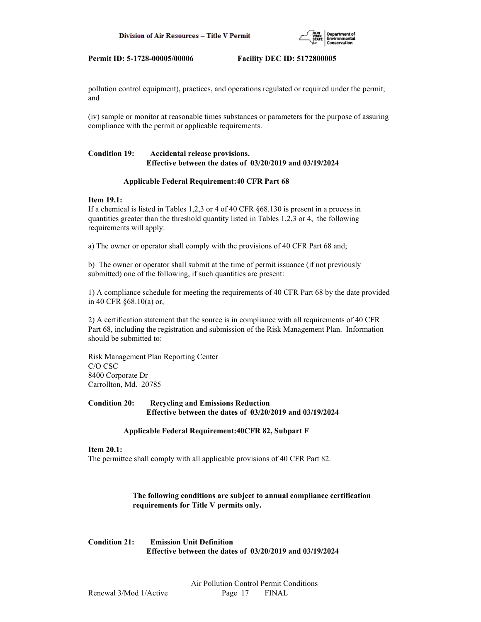

pollution control equipment), practices, and operations regulated or required under the permit; and

(iv) sample or monitor at reasonable times substances or parameters for the purpose of assuring compliance with the permit or applicable requirements.

# **Condition 19: Accidental release provisions. Effective between the dates of 03/20/2019 and 03/19/2024**

# **Applicable Federal Requirement:40 CFR Part 68**

# **Item 19.1:**

If a chemical is listed in Tables 1,2,3 or 4 of 40 CFR §68.130 is present in a process in quantities greater than the threshold quantity listed in Tables 1,2,3 or 4, the following requirements will apply:

a) The owner or operator shall comply with the provisions of 40 CFR Part 68 and;

b) The owner or operator shall submit at the time of permit issuance (if not previously submitted) one of the following, if such quantities are present:

1) A compliance schedule for meeting the requirements of 40 CFR Part 68 by the date provided in 40 CFR §68.10(a) or,

2) A certification statement that the source is in compliance with all requirements of 40 CFR Part 68, including the registration and submission of the Risk Management Plan. Information should be submitted to:

Risk Management Plan Reporting Center C/O CSC 8400 Corporate Dr Carrollton, Md. 20785

# **Condition 20: Recycling and Emissions Reduction Effective between the dates of 03/20/2019 and 03/19/2024**

# **Applicable Federal Requirement:40CFR 82, Subpart F**

# **Item 20.1:**

The permittee shall comply with all applicable provisions of 40 CFR Part 82.

 **The following conditions are subject to annual compliance certification requirements for Title V permits only.**

# **Condition 21: Emission Unit Definition Effective between the dates of 03/20/2019 and 03/19/2024**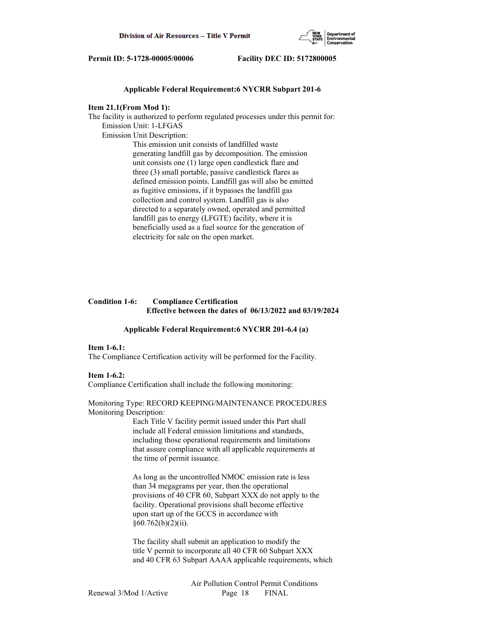

# **Applicable Federal Requirement:6 NYCRR Subpart 201-6**

#### **Item 21.1(From Mod 1):**

The facility is authorized to perform regulated processes under this permit for: Emission Unit: 1-LFGAS Emission Unit Description: This emission unit consists of landfilled waste generating landfill gas by decomposition. The emission

 unit consists one (1) large open candlestick flare and three (3) small portable, passive candlestick flares as defined emission points. Landfill gas will also be emitted as fugitive emissions, if it bypasses the landfill gas collection and control system. Landfill gas is also directed to a separately owned, operated and permitted landfill gas to energy (LFGTE) facility, where it is beneficially used as a fuel source for the generation of electricity for sale on the open market.

# **Condition 1-6: Compliance Certification Effective between the dates of 06/13/2022 and 03/19/2024**

# **Applicable Federal Requirement:6 NYCRR 201-6.4 (a)**

#### **Item 1-6.1:**

The Compliance Certification activity will be performed for the Facility.

#### **Item 1-6.2:**

Compliance Certification shall include the following monitoring:

#### Monitoring Type: RECORD KEEPING/MAINTENANCE PROCEDURES Monitoring Description:

 Each Title V facility permit issued under this Part shall include all Federal emission limitations and standards, including those operational requirements and limitations that assure compliance with all applicable requirements at the time of permit issuance.

 As long as the uncontrolled NMOC emission rate is less than 34 megagrams per year, then the operational provisions of 40 CFR 60, Subpart XXX do not apply to the facility. Operational provisions shall become effective upon start up of the GCCS in accordance with  $§60.762(b)(2)(ii).$ 

 The facility shall submit an application to modify the title V permit to incorporate all 40 CFR 60 Subpart XXX and 40 CFR 63 Subpart AAAA applicable requirements, which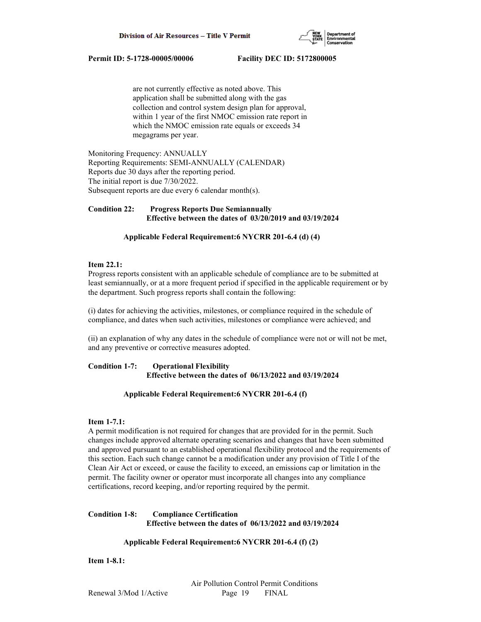

 are not currently effective as noted above. This application shall be submitted along with the gas collection and control system design plan for approval, within 1 year of the first NMOC emission rate report in which the NMOC emission rate equals or exceeds 34 megagrams per year.

Monitoring Frequency: ANNUALLY Reporting Requirements: SEMI-ANNUALLY (CALENDAR) Reports due 30 days after the reporting period. The initial report is due 7/30/2022. Subsequent reports are due every 6 calendar month(s).

# **Condition 22: Progress Reports Due Semiannually Effective between the dates of 03/20/2019 and 03/19/2024**

# **Applicable Federal Requirement:6 NYCRR 201-6.4 (d) (4)**

#### **Item 22.1:**

Progress reports consistent with an applicable schedule of compliance are to be submitted at least semiannually, or at a more frequent period if specified in the applicable requirement or by the department. Such progress reports shall contain the following:

(i) dates for achieving the activities, milestones, or compliance required in the schedule of compliance, and dates when such activities, milestones or compliance were achieved; and

(ii) an explanation of why any dates in the schedule of compliance were not or will not be met, and any preventive or corrective measures adopted.

# **Condition 1-7: Operational Flexibility Effective between the dates of 06/13/2022 and 03/19/2024**

# **Applicable Federal Requirement:6 NYCRR 201-6.4 (f)**

# **Item 1-7.1:**

A permit modification is not required for changes that are provided for in the permit. Such changes include approved alternate operating scenarios and changes that have been submitted and approved pursuant to an established operational flexibility protocol and the requirements of this section. Each such change cannot be a modification under any provision of Title I of the Clean Air Act or exceed, or cause the facility to exceed, an emissions cap or limitation in the permit. The facility owner or operator must incorporate all changes into any compliance certifications, record keeping, and/or reporting required by the permit.

# **Condition 1-8: Compliance Certification Effective between the dates of 06/13/2022 and 03/19/2024**

# **Applicable Federal Requirement:6 NYCRR 201-6.4 (f) (2)**

**Item 1-8.1:**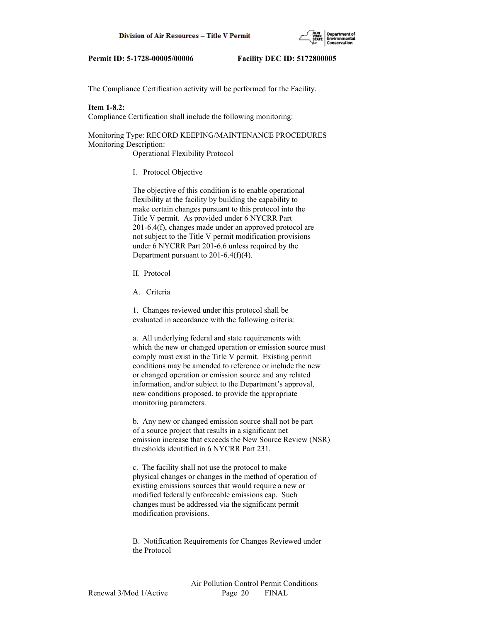

The Compliance Certification activity will be performed for the Facility.

# **Item 1-8.2:**

Compliance Certification shall include the following monitoring:

Monitoring Type: RECORD KEEPING/MAINTENANCE PROCEDURES Monitoring Description:

Operational Flexibility Protocol

I. Protocol Objective

 The objective of this condition is to enable operational flexibility at the facility by building the capability to make certain changes pursuant to this protocol into the Title V permit. As provided under 6 NYCRR Part 201-6.4(f), changes made under an approved protocol are not subject to the Title V permit modification provisions under 6 NYCRR Part 201-6.6 unless required by the Department pursuant to 201-6.4(f)(4).

- II. Protocol
- A. Criteria

 1. Changes reviewed under this protocol shall be evaluated in accordance with the following criteria:

 a. All underlying federal and state requirements with which the new or changed operation or emission source must comply must exist in the Title V permit. Existing permit conditions may be amended to reference or include the new or changed operation or emission source and any related information, and/or subject to the Department's approval, new conditions proposed, to provide the appropriate monitoring parameters.

 b. Any new or changed emission source shall not be part of a source project that results in a significant net emission increase that exceeds the New Source Review (NSR) thresholds identified in 6 NYCRR Part 231.

 c. The facility shall not use the protocol to make physical changes or changes in the method of operation of existing emissions sources that would require a new or modified federally enforceable emissions cap. Such changes must be addressed via the significant permit modification provisions.

 B. Notification Requirements for Changes Reviewed under the Protocol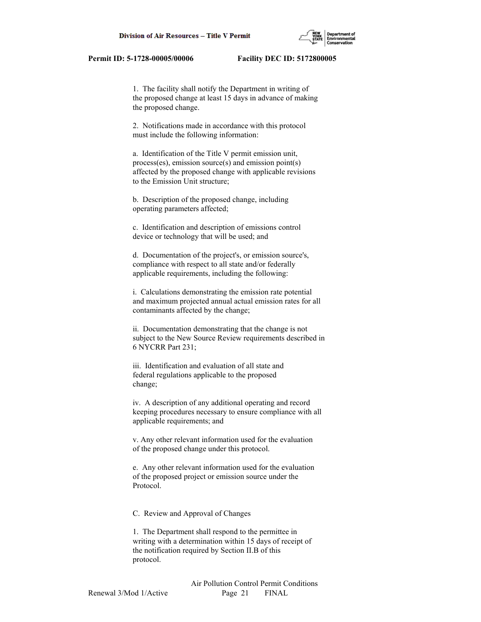1. The facility shall notify the Department in writing of the proposed change at least 15 days in advance of making the proposed change.

 2. Notifications made in accordance with this protocol must include the following information:

 a. Identification of the Title V permit emission unit, process(es), emission source(s) and emission point(s) affected by the proposed change with applicable revisions to the Emission Unit structure;

 b. Description of the proposed change, including operating parameters affected;

 c. Identification and description of emissions control device or technology that will be used; and

 d. Documentation of the project's, or emission source's, compliance with respect to all state and/or federally applicable requirements, including the following:

 i. Calculations demonstrating the emission rate potential and maximum projected annual actual emission rates for all contaminants affected by the change;

 ii. Documentation demonstrating that the change is not subject to the New Source Review requirements described in 6 NYCRR Part 231;

 iii. Identification and evaluation of all state and federal regulations applicable to the proposed change;

 iv. A description of any additional operating and record keeping procedures necessary to ensure compliance with all applicable requirements; and

 v. Any other relevant information used for the evaluation of the proposed change under this protocol.

 e. Any other relevant information used for the evaluation of the proposed project or emission source under the Protocol.

C. Review and Approval of Changes

 1. The Department shall respond to the permittee in writing with a determination within 15 days of receipt of the notification required by Section II.B of this protocol.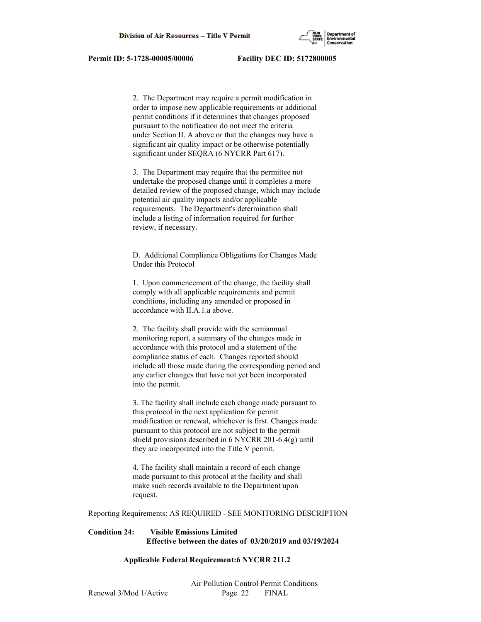

 2. The Department may require a permit modification in order to impose new applicable requirements or additional permit conditions if it determines that changes proposed pursuant to the notification do not meet the criteria under Section II. A above or that the changes may have a significant air quality impact or be otherwise potentially significant under SEQRA (6 NYCRR Part 617).

 3. The Department may require that the permittee not undertake the proposed change until it completes a more detailed review of the proposed change, which may include potential air quality impacts and/or applicable requirements. The Department's determination shall include a listing of information required for further review, if necessary.

 D. Additional Compliance Obligations for Changes Made Under this Protocol

 1. Upon commencement of the change, the facility shall comply with all applicable requirements and permit conditions, including any amended or proposed in accordance with II.A.1.a above.

 2. The facility shall provide with the semiannual monitoring report, a summary of the changes made in accordance with this protocol and a statement of the compliance status of each. Changes reported should include all those made during the corresponding period and any earlier changes that have not yet been incorporated into the permit.

 3. The facility shall include each change made pursuant to this protocol in the next application for permit modification or renewal, whichever is first. Changes made pursuant to this protocol are not subject to the permit shield provisions described in 6 NYCRR 201-6.4(g) until they are incorporated into the Title V permit.

 4. The facility shall maintain a record of each change made pursuant to this protocol at the facility and shall make such records available to the Department upon request.

Reporting Requirements: AS REQUIRED - SEE MONITORING DESCRIPTION

# **Condition 24: Visible Emissions Limited Effective between the dates of 03/20/2019 and 03/19/2024**

# **Applicable Federal Requirement:6 NYCRR 211.2**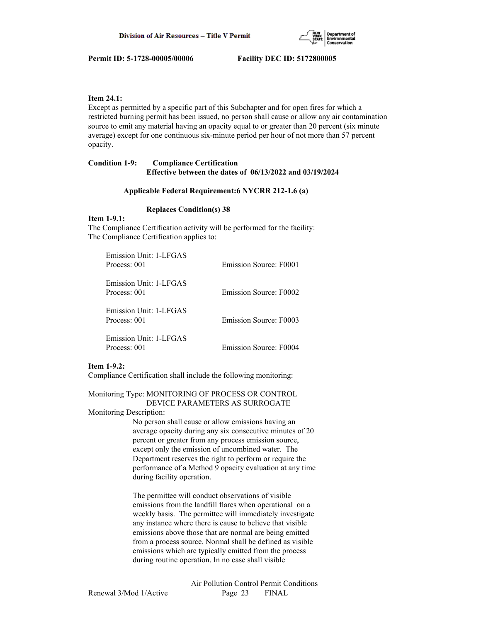

# **Item 24.1:**

Except as permitted by a specific part of this Subchapter and for open fires for which a restricted burning permit has been issued, no person shall cause or allow any air contamination source to emit any material having an opacity equal to or greater than 20 percent (six minute average) except for one continuous six-minute period per hour of not more than 57 percent opacity.

# **Condition 1-9: Compliance Certification Effective between the dates of 06/13/2022 and 03/19/2024**

#### **Applicable Federal Requirement:6 NYCRR 212-1.6 (a)**

#### **Replaces Condition(s) 38**

# **Item 1-9.1:**

The Compliance Certification activity will be performed for the facility: The Compliance Certification applies to:

| Emission Unit: 1-LFGAS<br>Process: 001 | Emission Source: F0001 |
|----------------------------------------|------------------------|
| Emission Unit: 1-LFGAS<br>Process: 001 | Emission Source: F0002 |
| Emission Unit: 1-LEGAS<br>Process: 001 | Emission Source: F0003 |
| Emission Unit: 1-LEGAS<br>Process: 001 | Emission Source: F0004 |

#### **Item 1-9.2:**

Compliance Certification shall include the following monitoring:

Monitoring Type: MONITORING OF PROCESS OR CONTROL DEVICE PARAMETERS AS SURROGATE

#### Monitoring Description:

 No person shall cause or allow emissions having an average opacity during any six consecutive minutes of 20 percent or greater from any process emission source, except only the emission of uncombined water. The Department reserves the right to perform or require the performance of a Method 9 opacity evaluation at any time during facility operation.

 The permittee will conduct observations of visible emissions from the landfill flares when operational on a weekly basis. The permittee will immediately investigate any instance where there is cause to believe that visible emissions above those that are normal are being emitted from a process source. Normal shall be defined as visible emissions which are typically emitted from the process during routine operation. In no case shall visible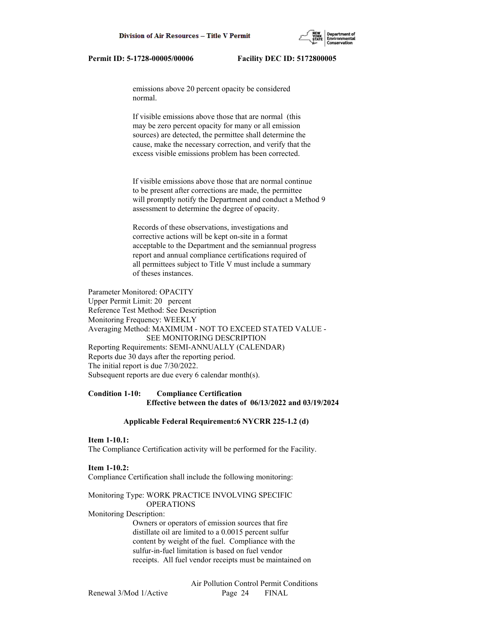emissions above 20 percent opacity be considered normal.

 If visible emissions above those that are normal (this may be zero percent opacity for many or all emission sources) are detected, the permittee shall determine the cause, make the necessary correction, and verify that the excess visible emissions problem has been corrected.

 If visible emissions above those that are normal continue to be present after corrections are made, the permittee will promptly notify the Department and conduct a Method 9 assessment to determine the degree of opacity.

 Records of these observations, investigations and corrective actions will be kept on-site in a format acceptable to the Department and the semiannual progress report and annual compliance certifications required of all permittees subject to Title V must include a summary of theses instances.

Parameter Monitored: OPACITY Upper Permit Limit: 20 percent Reference Test Method: See Description Monitoring Frequency: WEEKLY Averaging Method: MAXIMUM - NOT TO EXCEED STATED VALUE - SEE MONITORING DESCRIPTION Reporting Requirements: SEMI-ANNUALLY (CALENDAR) Reports due 30 days after the reporting period. The initial report is due 7/30/2022. Subsequent reports are due every 6 calendar month(s).

# **Condition 1-10: Compliance Certification Effective between the dates of 06/13/2022 and 03/19/2024**

#### **Applicable Federal Requirement:6 NYCRR 225-1.2 (d)**

#### **Item 1-10.1:**

The Compliance Certification activity will be performed for the Facility.

#### **Item 1-10.2:**

Compliance Certification shall include the following monitoring:

# Monitoring Type: WORK PRACTICE INVOLVING SPECIFIC

# OPERATIONS Monitoring Description:

 Owners or operators of emission sources that fire distillate oil are limited to a 0.0015 percent sulfur content by weight of the fuel. Compliance with the sulfur-in-fuel limitation is based on fuel vendor receipts. All fuel vendor receipts must be maintained on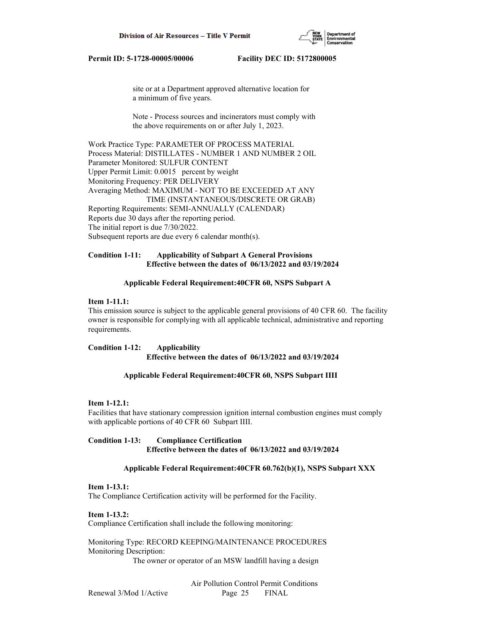

 site or at a Department approved alternative location for a minimum of five years.

 Note - Process sources and incinerators must comply with the above requirements on or after July 1, 2023.

Work Practice Type: PARAMETER OF PROCESS MATERIAL Process Material: DISTILLATES - NUMBER 1 AND NUMBER 2 OIL Parameter Monitored: SULFUR CONTENT Upper Permit Limit: 0.0015 percent by weight Monitoring Frequency: PER DELIVERY Averaging Method: MAXIMUM - NOT TO BE EXCEEDED AT ANY TIME (INSTANTANEOUS/DISCRETE OR GRAB) Reporting Requirements: SEMI-ANNUALLY (CALENDAR) Reports due 30 days after the reporting period. The initial report is due 7/30/2022. Subsequent reports are due every 6 calendar month(s).

# **Condition 1-11: Applicability of Subpart A General Provisions Effective between the dates of 06/13/2022 and 03/19/2024**

# **Applicable Federal Requirement:40CFR 60, NSPS Subpart A**

# **Item 1-11.1:**

This emission source is subject to the applicable general provisions of 40 CFR 60. The facility owner is responsible for complying with all applicable technical, administrative and reporting requirements.

**Condition 1-12: Applicability Effective between the dates of 06/13/2022 and 03/19/2024**

#### **Applicable Federal Requirement:40CFR 60, NSPS Subpart IIII**

# **Item 1-12.1:**

Facilities that have stationary compression ignition internal combustion engines must comply with applicable portions of 40 CFR 60 Subpart IIII.

# **Condition 1-13: Compliance Certification Effective between the dates of 06/13/2022 and 03/19/2024**

#### **Applicable Federal Requirement:40CFR 60.762(b)(1), NSPS Subpart XXX**

#### **Item 1-13.1:**

The Compliance Certification activity will be performed for the Facility.

**Item 1-13.2:** Compliance Certification shall include the following monitoring:

Monitoring Type: RECORD KEEPING/MAINTENANCE PROCEDURES Monitoring Description:

The owner or operator of an MSW landfill having a design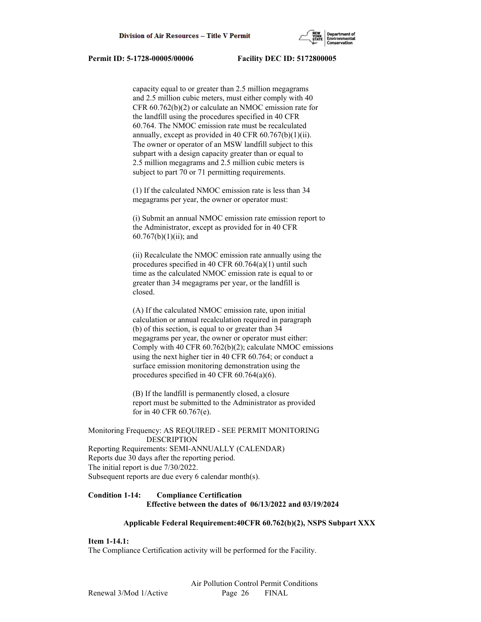

 capacity equal to or greater than 2.5 million megagrams and 2.5 million cubic meters, must either comply with 40 CFR 60.762(b)(2) or calculate an NMOC emission rate for the landfill using the procedures specified in 40 CFR 60.764. The NMOC emission rate must be recalculated annually, except as provided in 40 CFR  $60.767(b)(1)(ii)$ . The owner or operator of an MSW landfill subject to this subpart with a design capacity greater than or equal to 2.5 million megagrams and 2.5 million cubic meters is subject to part 70 or 71 permitting requirements.

 (1) If the calculated NMOC emission rate is less than 34 megagrams per year, the owner or operator must:

 (i) Submit an annual NMOC emission rate emission report to the Administrator, except as provided for in 40 CFR 60.767(b)(1)(ii); and

 (ii) Recalculate the NMOC emission rate annually using the procedures specified in 40 CFR 60.764(a)(1) until such time as the calculated NMOC emission rate is equal to or greater than 34 megagrams per year, or the landfill is closed.

 (A) If the calculated NMOC emission rate, upon initial calculation or annual recalculation required in paragraph (b) of this section, is equal to or greater than 34 megagrams per year, the owner or operator must either: Comply with 40 CFR 60.762(b)(2); calculate NMOC emissions using the next higher tier in 40 CFR 60.764; or conduct a surface emission monitoring demonstration using the procedures specified in 40 CFR 60.764(a)(6).

 (B) If the landfill is permanently closed, a closure report must be submitted to the Administrator as provided for in 40 CFR 60.767(e).

Monitoring Frequency: AS REQUIRED - SEE PERMIT MONITORING DESCRIPTION Reporting Requirements: SEMI-ANNUALLY (CALENDAR) Reports due 30 days after the reporting period. The initial report is due 7/30/2022. Subsequent reports are due every 6 calendar month(s).

# **Condition 1-14: Compliance Certification Effective between the dates of 06/13/2022 and 03/19/2024**

# **Applicable Federal Requirement:40CFR 60.762(b)(2), NSPS Subpart XXX**

# **Item 1-14.1:**

The Compliance Certification activity will be performed for the Facility.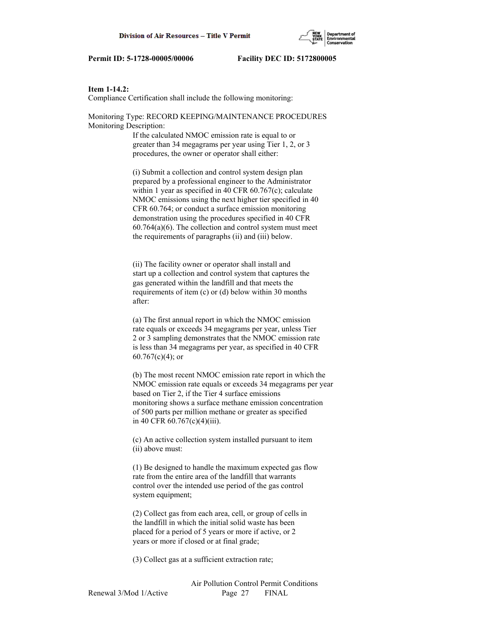# **Item 1-14.2:**

Compliance Certification shall include the following monitoring:

Monitoring Type: RECORD KEEPING/MAINTENANCE PROCEDURES Monitoring Description:

> If the calculated NMOC emission rate is equal to or greater than 34 megagrams per year using Tier 1, 2, or 3 procedures, the owner or operator shall either:

 (i) Submit a collection and control system design plan prepared by a professional engineer to the Administrator within 1 year as specified in 40 CFR 60.767(c); calculate NMOC emissions using the next higher tier specified in 40 CFR 60.764; or conduct a surface emission monitoring demonstration using the procedures specified in 40 CFR  $60.764(a)(6)$ . The collection and control system must meet the requirements of paragraphs (ii) and (iii) below.

 (ii) The facility owner or operator shall install and start up a collection and control system that captures the gas generated within the landfill and that meets the requirements of item (c) or (d) below within 30 months after:

 (a) The first annual report in which the NMOC emission rate equals or exceeds 34 megagrams per year, unless Tier 2 or 3 sampling demonstrates that the NMOC emission rate is less than 34 megagrams per year, as specified in 40 CFR  $60.767(c)(4)$ ; or

 (b) The most recent NMOC emission rate report in which the NMOC emission rate equals or exceeds 34 megagrams per year based on Tier 2, if the Tier 4 surface emissions monitoring shows a surface methane emission concentration of 500 parts per million methane or greater as specified in 40 CFR 60.767(c)(4)(iii).

 (c) An active collection system installed pursuant to item (ii) above must:

 (1) Be designed to handle the maximum expected gas flow rate from the entire area of the landfill that warrants control over the intended use period of the gas control system equipment;

 (2) Collect gas from each area, cell, or group of cells in the landfill in which the initial solid waste has been placed for a period of 5 years or more if active, or 2 years or more if closed or at final grade;

(3) Collect gas at a sufficient extraction rate;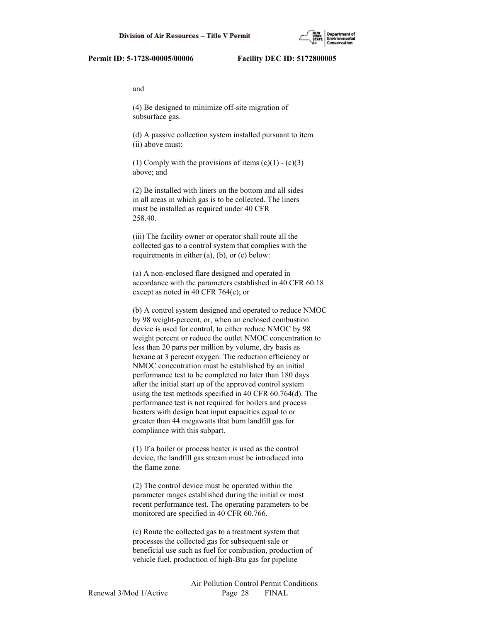and

 (4) Be designed to minimize off-site migration of subsurface gas.

 (d) A passive collection system installed pursuant to item (ii) above must:

(1) Comply with the provisions of items  $(c)(1) - (c)(3)$ above; and

 (2) Be installed with liners on the bottom and all sides in all areas in which gas is to be collected. The liners must be installed as required under 40 CFR 258.40.

 (iii) The facility owner or operator shall route all the collected gas to a control system that complies with the requirements in either (a), (b), or (c) below:

 (a) A non-enclosed flare designed and operated in accordance with the parameters established in 40 CFR 60.18 except as noted in 40 CFR 764(e); or

 (b) A control system designed and operated to reduce NMOC by 98 weight-percent, or, when an enclosed combustion device is used for control, to either reduce NMOC by 98 weight percent or reduce the outlet NMOC concentration to less than 20 parts per million by volume, dry basis as hexane at 3 percent oxygen. The reduction efficiency or NMOC concentration must be established by an initial performance test to be completed no later than 180 days after the initial start up of the approved control system using the test methods specified in 40 CFR 60.764(d). The performance test is not required for boilers and process heaters with design heat input capacities equal to or greater than 44 megawatts that burn landfill gas for compliance with this subpart.

 (1) If a boiler or process heater is used as the control device, the landfill gas stream must be introduced into the flame zone.

 (2) The control device must be operated within the parameter ranges established during the initial or most recent performance test. The operating parameters to be monitored are specified in 40 CFR 60.766.

 (c) Route the collected gas to a treatment system that processes the collected gas for subsequent sale or beneficial use such as fuel for combustion, production of vehicle fuel, production of high-Btu gas for pipeline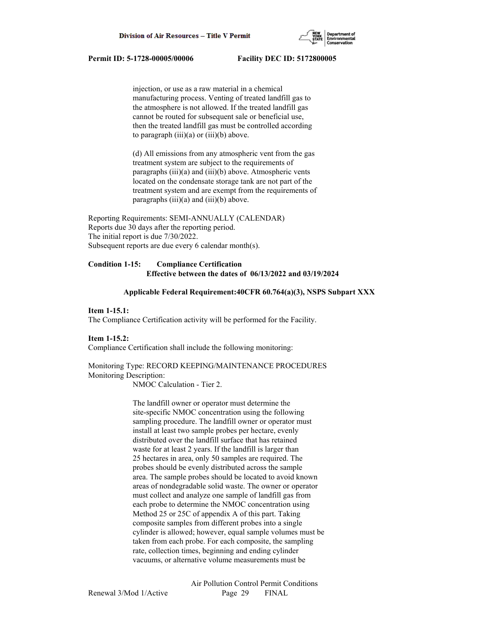

 injection, or use as a raw material in a chemical manufacturing process. Venting of treated landfill gas to the atmosphere is not allowed. If the treated landfill gas cannot be routed for subsequent sale or beneficial use, then the treated landfill gas must be controlled according to paragraph (iii)(a) or (iii)(b) above.

 (d) All emissions from any atmospheric vent from the gas treatment system are subject to the requirements of paragraphs (iii)(a) and (iii)(b) above. Atmospheric vents located on the condensate storage tank are not part of the treatment system and are exempt from the requirements of paragraphs (iii)(a) and (iii)(b) above.

Reporting Requirements: SEMI-ANNUALLY (CALENDAR) Reports due 30 days after the reporting period. The initial report is due 7/30/2022. Subsequent reports are due every 6 calendar month(s).

# **Condition 1-15: Compliance Certification Effective between the dates of 06/13/2022 and 03/19/2024**

# **Applicable Federal Requirement:40CFR 60.764(a)(3), NSPS Subpart XXX**

#### **Item 1-15.1:**

The Compliance Certification activity will be performed for the Facility.

#### **Item 1-15.2:**

Compliance Certification shall include the following monitoring:

# Monitoring Type: RECORD KEEPING/MAINTENANCE PROCEDURES Monitoring Description:

NMOC Calculation - Tier 2.

 The landfill owner or operator must determine the site-specific NMOC concentration using the following sampling procedure. The landfill owner or operator must install at least two sample probes per hectare, evenly distributed over the landfill surface that has retained waste for at least 2 years. If the landfill is larger than 25 hectares in area, only 50 samples are required. The probes should be evenly distributed across the sample area. The sample probes should be located to avoid known areas of nondegradable solid waste. The owner or operator must collect and analyze one sample of landfill gas from each probe to determine the NMOC concentration using Method 25 or 25C of appendix A of this part. Taking composite samples from different probes into a single cylinder is allowed; however, equal sample volumes must be taken from each probe. For each composite, the sampling rate, collection times, beginning and ending cylinder vacuums, or alternative volume measurements must be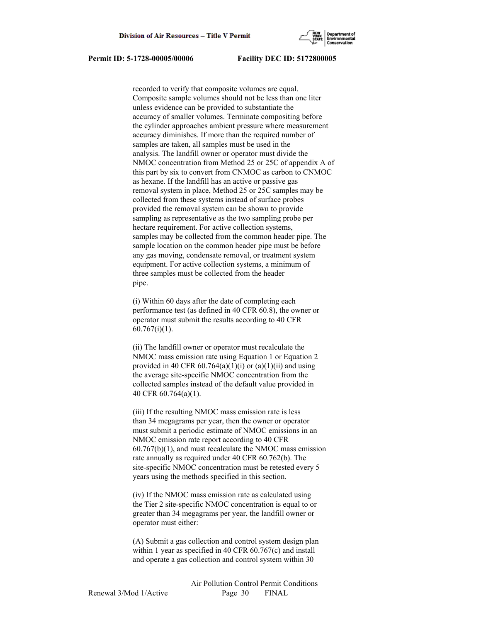

 recorded to verify that composite volumes are equal. Composite sample volumes should not be less than one liter unless evidence can be provided to substantiate the accuracy of smaller volumes. Terminate compositing before the cylinder approaches ambient pressure where measurement accuracy diminishes. If more than the required number of samples are taken, all samples must be used in the analysis. The landfill owner or operator must divide the NMOC concentration from Method 25 or 25C of appendix A of this part by six to convert from CNMOC as carbon to CNMOC as hexane. If the landfill has an active or passive gas removal system in place, Method 25 or 25C samples may be collected from these systems instead of surface probes provided the removal system can be shown to provide sampling as representative as the two sampling probe per hectare requirement. For active collection systems, samples may be collected from the common header pipe. The sample location on the common header pipe must be before any gas moving, condensate removal, or treatment system equipment. For active collection systems, a minimum of three samples must be collected from the header pipe.

 (i) Within 60 days after the date of completing each performance test (as defined in 40 CFR 60.8), the owner or operator must submit the results according to 40 CFR 60.767(i)(1).

 (ii) The landfill owner or operator must recalculate the NMOC mass emission rate using Equation 1 or Equation 2 provided in 40 CFR  $60.764(a)(1)(i)$  or  $(a)(1)(ii)$  and using the average site-specific NMOC concentration from the collected samples instead of the default value provided in 40 CFR 60.764(a)(1).

 (iii) If the resulting NMOC mass emission rate is less than 34 megagrams per year, then the owner or operator must submit a periodic estimate of NMOC emissions in an NMOC emission rate report according to 40 CFR 60.767(b)(1), and must recalculate the NMOC mass emission rate annually as required under 40 CFR 60.762(b). The site-specific NMOC concentration must be retested every 5 years using the methods specified in this section.

 (iv) If the NMOC mass emission rate as calculated using the Tier 2 site-specific NMOC concentration is equal to or greater than 34 megagrams per year, the landfill owner or operator must either:

 (A) Submit a gas collection and control system design plan within 1 year as specified in 40 CFR 60.767(c) and install and operate a gas collection and control system within 30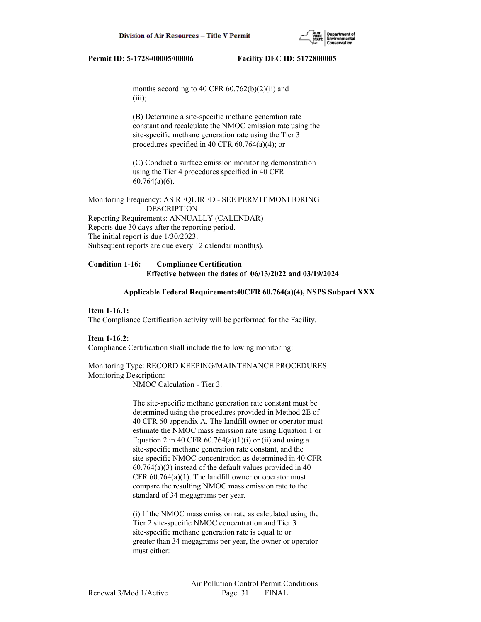

months according to 40 CFR  $60.762(b)(2)(ii)$  and (iii);

 (B) Determine a site-specific methane generation rate constant and recalculate the NMOC emission rate using the site-specific methane generation rate using the Tier 3 procedures specified in 40 CFR 60.764(a)(4); or

 (C) Conduct a surface emission monitoring demonstration using the Tier 4 procedures specified in 40 CFR 60.764(a)(6).

Monitoring Frequency: AS REQUIRED - SEE PERMIT MONITORING DESCRIPTION Reporting Requirements: ANNUALLY (CALENDAR) Reports due 30 days after the reporting period. The initial report is due 1/30/2023. Subsequent reports are due every 12 calendar month(s).

# **Condition 1-16: Compliance Certification Effective between the dates of 06/13/2022 and 03/19/2024**

#### **Applicable Federal Requirement:40CFR 60.764(a)(4), NSPS Subpart XXX**

#### **Item 1-16.1:**

The Compliance Certification activity will be performed for the Facility.

#### **Item 1-16.2:**

Compliance Certification shall include the following monitoring:

# Monitoring Type: RECORD KEEPING/MAINTENANCE PROCEDURES Monitoring Description:

NMOC Calculation - Tier 3.

 The site-specific methane generation rate constant must be determined using the procedures provided in Method 2E of 40 CFR 60 appendix A. The landfill owner or operator must estimate the NMOC mass emission rate using Equation 1 or Equation 2 in 40 CFR  $60.764(a)(1)(i)$  or (ii) and using a site-specific methane generation rate constant, and the site-specific NMOC concentration as determined in 40 CFR 60.764(a)(3) instead of the default values provided in 40 CFR  $60.764(a)(1)$ . The landfill owner or operator must compare the resulting NMOC mass emission rate to the standard of 34 megagrams per year.

 (i) If the NMOC mass emission rate as calculated using the Tier 2 site-specific NMOC concentration and Tier 3 site-specific methane generation rate is equal to or greater than 34 megagrams per year, the owner or operator must either: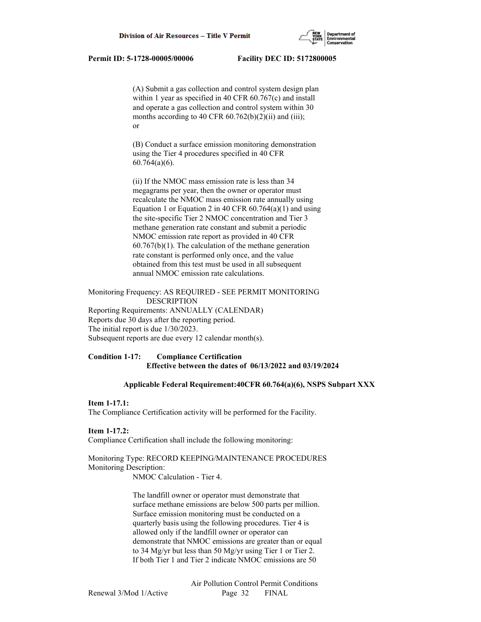(A) Submit a gas collection and control system design plan within 1 year as specified in 40 CFR 60.767(c) and install and operate a gas collection and control system within 30 months according to 40 CFR  $60.762(b)(2)(ii)$  and (iii); or

> (B) Conduct a surface emission monitoring demonstration using the Tier 4 procedures specified in 40 CFR 60.764(a)(6).

 (ii) If the NMOC mass emission rate is less than 34 megagrams per year, then the owner or operator must recalculate the NMOC mass emission rate annually using Equation 1 or Equation 2 in 40 CFR  $60.764(a)(1)$  and using the site-specific Tier 2 NMOC concentration and Tier 3 methane generation rate constant and submit a periodic NMOC emission rate report as provided in 40 CFR  $60.767(b)(1)$ . The calculation of the methane generation rate constant is performed only once, and the value obtained from this test must be used in all subsequent annual NMOC emission rate calculations.

Monitoring Frequency: AS REQUIRED - SEE PERMIT MONITORING DESCRIPTION Reporting Requirements: ANNUALLY (CALENDAR) Reports due 30 days after the reporting period. The initial report is due 1/30/2023. Subsequent reports are due every 12 calendar month(s).

# **Condition 1-17: Compliance Certification Effective between the dates of 06/13/2022 and 03/19/2024**

# **Applicable Federal Requirement:40CFR 60.764(a)(6), NSPS Subpart XXX**

# **Item 1-17.1:**

The Compliance Certification activity will be performed for the Facility.

# **Item 1-17.2:**

Compliance Certification shall include the following monitoring:

# Monitoring Type: RECORD KEEPING/MAINTENANCE PROCEDURES Monitoring Description:

NMOC Calculation - Tier 4.

 The landfill owner or operator must demonstrate that surface methane emissions are below 500 parts per million. Surface emission monitoring must be conducted on a quarterly basis using the following procedures. Tier 4 is allowed only if the landfill owner or operator can demonstrate that NMOC emissions are greater than or equal to 34 Mg/yr but less than 50 Mg/yr using Tier 1 or Tier 2. If both Tier 1 and Tier 2 indicate NMOC emissions are 50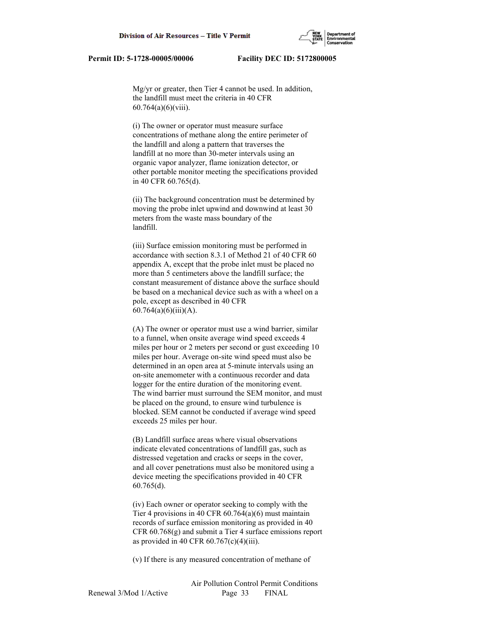Mg/yr or greater, then Tier 4 cannot be used. In addition, the landfill must meet the criteria in 40 CFR 60.764(a)(6)(viii).

 (i) The owner or operator must measure surface concentrations of methane along the entire perimeter of the landfill and along a pattern that traverses the landfill at no more than 30-meter intervals using an organic vapor analyzer, flame ionization detector, or other portable monitor meeting the specifications provided in 40 CFR 60.765(d).

 (ii) The background concentration must be determined by moving the probe inlet upwind and downwind at least 30 meters from the waste mass boundary of the landfill.

 (iii) Surface emission monitoring must be performed in accordance with section 8.3.1 of Method 21 of 40 CFR 60 appendix A, except that the probe inlet must be placed no more than 5 centimeters above the landfill surface; the constant measurement of distance above the surface should be based on a mechanical device such as with a wheel on a pole, except as described in 40 CFR  $60.764(a)(6)(iii)(A).$ 

 (A) The owner or operator must use a wind barrier, similar to a funnel, when onsite average wind speed exceeds 4 miles per hour or 2 meters per second or gust exceeding 10 miles per hour. Average on-site wind speed must also be determined in an open area at 5-minute intervals using an on-site anemometer with a continuous recorder and data logger for the entire duration of the monitoring event. The wind barrier must surround the SEM monitor, and must be placed on the ground, to ensure wind turbulence is blocked. SEM cannot be conducted if average wind speed exceeds 25 miles per hour.

 (B) Landfill surface areas where visual observations indicate elevated concentrations of landfill gas, such as distressed vegetation and cracks or seeps in the cover, and all cover penetrations must also be monitored using a device meeting the specifications provided in 40 CFR 60.765(d).

 (iv) Each owner or operator seeking to comply with the Tier 4 provisions in 40 CFR 60.764(a)(6) must maintain records of surface emission monitoring as provided in 40 CFR 60.768(g) and submit a Tier 4 surface emissions report as provided in 40 CFR  $60.767(c)(4)(iii)$ .

(v) If there is any measured concentration of methane of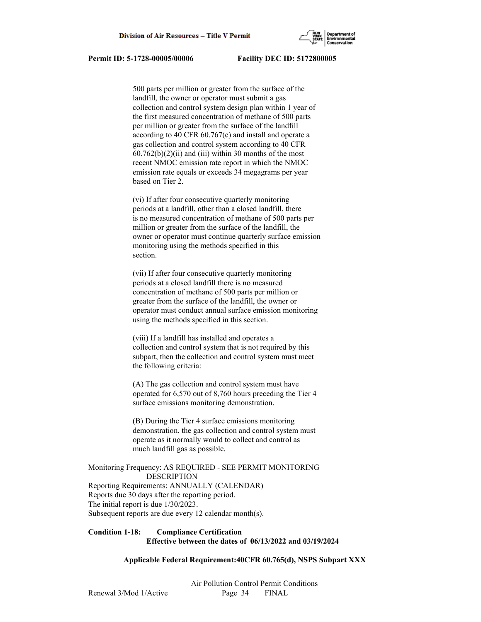

 500 parts per million or greater from the surface of the landfill, the owner or operator must submit a gas collection and control system design plan within 1 year of the first measured concentration of methane of 500 parts per million or greater from the surface of the landfill according to 40 CFR 60.767(c) and install and operate a gas collection and control system according to 40 CFR  $60.762(b)(2)(ii)$  and (iii) within 30 months of the most recent NMOC emission rate report in which the NMOC emission rate equals or exceeds 34 megagrams per year based on Tier 2.

 (vi) If after four consecutive quarterly monitoring periods at a landfill, other than a closed landfill, there is no measured concentration of methane of 500 parts per million or greater from the surface of the landfill, the owner or operator must continue quarterly surface emission monitoring using the methods specified in this section.

 (vii) If after four consecutive quarterly monitoring periods at a closed landfill there is no measured concentration of methane of 500 parts per million or greater from the surface of the landfill, the owner or operator must conduct annual surface emission monitoring using the methods specified in this section.

 (viii) If a landfill has installed and operates a collection and control system that is not required by this subpart, then the collection and control system must meet the following criteria:

 (A) The gas collection and control system must have operated for 6,570 out of 8,760 hours preceding the Tier 4 surface emissions monitoring demonstration.

 (B) During the Tier 4 surface emissions monitoring demonstration, the gas collection and control system must operate as it normally would to collect and control as much landfill gas as possible.

# Monitoring Frequency: AS REQUIRED - SEE PERMIT MONITORING DESCRIPTION

Reporting Requirements: ANNUALLY (CALENDAR) Reports due 30 days after the reporting period. The initial report is due 1/30/2023. Subsequent reports are due every 12 calendar month(s).

# **Condition 1-18: Compliance Certification Effective between the dates of 06/13/2022 and 03/19/2024**

# **Applicable Federal Requirement:40CFR 60.765(d), NSPS Subpart XXX**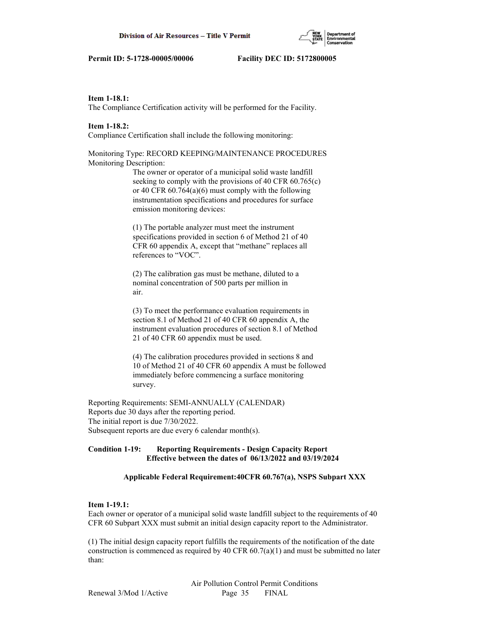# **Item 1-18.1:**

The Compliance Certification activity will be performed for the Facility.

# **Item 1-18.2:**

Compliance Certification shall include the following monitoring:

Monitoring Type: RECORD KEEPING/MAINTENANCE PROCEDURES Monitoring Description:

> The owner or operator of a municipal solid waste landfill seeking to comply with the provisions of 40 CFR 60.765(c) or 40 CFR 60.764(a)(6) must comply with the following instrumentation specifications and procedures for surface emission monitoring devices:

 (1) The portable analyzer must meet the instrument specifications provided in section 6 of Method 21 of 40 CFR 60 appendix A, except that "methane" replaces all references to "VOC".

 (2) The calibration gas must be methane, diluted to a nominal concentration of 500 parts per million in air.

 (3) To meet the performance evaluation requirements in section 8.1 of Method 21 of 40 CFR 60 appendix A, the instrument evaluation procedures of section 8.1 of Method 21 of 40 CFR 60 appendix must be used.

 (4) The calibration procedures provided in sections 8 and 10 of Method 21 of 40 CFR 60 appendix A must be followed immediately before commencing a surface monitoring survey.

Reporting Requirements: SEMI-ANNUALLY (CALENDAR) Reports due 30 days after the reporting period. The initial report is due 7/30/2022. Subsequent reports are due every 6 calendar month(s).

# **Condition 1-19: Reporting Requirements - Design Capacity Report Effective between the dates of 06/13/2022 and 03/19/2024**

# **Applicable Federal Requirement:40CFR 60.767(a), NSPS Subpart XXX**

# **Item 1-19.1:**

Each owner or operator of a municipal solid waste landfill subject to the requirements of 40 CFR 60 Subpart XXX must submit an initial design capacity report to the Administrator.

(1) The initial design capacity report fulfills the requirements of the notification of the date construction is commenced as required by 40 CFR  $60.7(a)(1)$  and must be submitted no later than: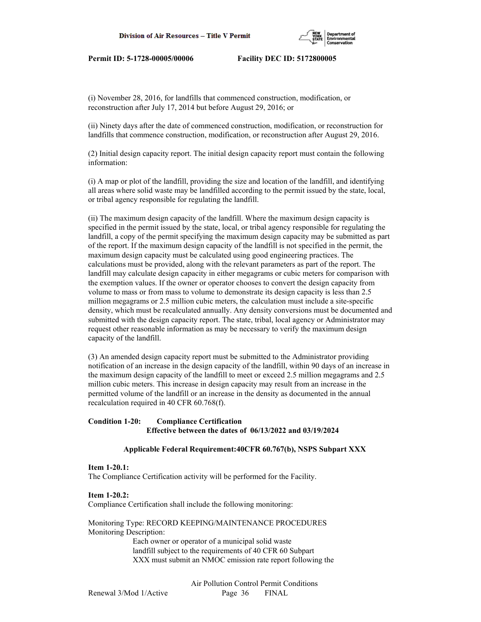

(i) November 28, 2016, for landfills that commenced construction, modification, or reconstruction after July 17, 2014 but before August 29, 2016; or

(ii) Ninety days after the date of commenced construction, modification, or reconstruction for landfills that commence construction, modification, or reconstruction after August 29, 2016.

(2) Initial design capacity report. The initial design capacity report must contain the following information:

(i) A map or plot of the landfill, providing the size and location of the landfill, and identifying all areas where solid waste may be landfilled according to the permit issued by the state, local, or tribal agency responsible for regulating the landfill.

(ii) The maximum design capacity of the landfill. Where the maximum design capacity is specified in the permit issued by the state, local, or tribal agency responsible for regulating the landfill, a copy of the permit specifying the maximum design capacity may be submitted as part of the report. If the maximum design capacity of the landfill is not specified in the permit, the maximum design capacity must be calculated using good engineering practices. The calculations must be provided, along with the relevant parameters as part of the report. The landfill may calculate design capacity in either megagrams or cubic meters for comparison with the exemption values. If the owner or operator chooses to convert the design capacity from volume to mass or from mass to volume to demonstrate its design capacity is less than 2.5 million megagrams or 2.5 million cubic meters, the calculation must include a site-specific density, which must be recalculated annually. Any density conversions must be documented and submitted with the design capacity report. The state, tribal, local agency or Administrator may request other reasonable information as may be necessary to verify the maximum design capacity of the landfill.

(3) An amended design capacity report must be submitted to the Administrator providing notification of an increase in the design capacity of the landfill, within 90 days of an increase in the maximum design capacity of the landfill to meet or exceed 2.5 million megagrams and 2.5 million cubic meters. This increase in design capacity may result from an increase in the permitted volume of the landfill or an increase in the density as documented in the annual recalculation required in 40 CFR 60.768(f).

# **Condition 1-20: Compliance Certification Effective between the dates of 06/13/2022 and 03/19/2024**

# **Applicable Federal Requirement:40CFR 60.767(b), NSPS Subpart XXX**

#### **Item 1-20.1:**

The Compliance Certification activity will be performed for the Facility.

#### **Item 1-20.2:**

Compliance Certification shall include the following monitoring:

Monitoring Type: RECORD KEEPING/MAINTENANCE PROCEDURES Monitoring Description:

> Each owner or operator of a municipal solid waste landfill subject to the requirements of 40 CFR 60 Subpart XXX must submit an NMOC emission rate report following the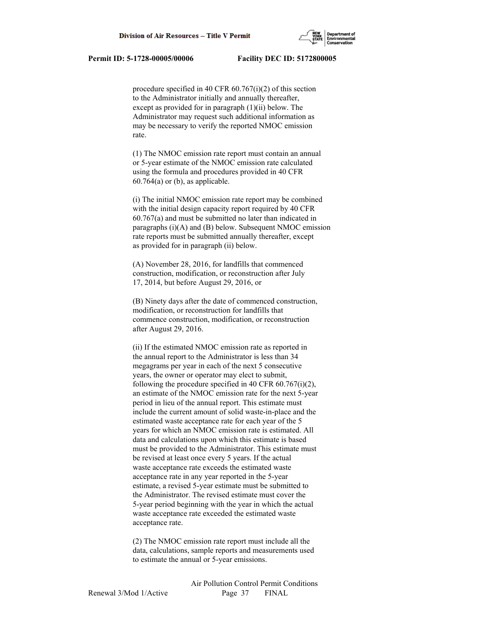

 procedure specified in 40 CFR 60.767(i)(2) of this section to the Administrator initially and annually thereafter, except as provided for in paragraph (1)(ii) below. The Administrator may request such additional information as may be necessary to verify the reported NMOC emission rate.

 (1) The NMOC emission rate report must contain an annual or 5-year estimate of the NMOC emission rate calculated using the formula and procedures provided in 40 CFR  $60.764(a)$  or (b), as applicable.

 (i) The initial NMOC emission rate report may be combined with the initial design capacity report required by 40 CFR 60.767(a) and must be submitted no later than indicated in paragraphs (i)(A) and (B) below. Subsequent NMOC emission rate reports must be submitted annually thereafter, except as provided for in paragraph (ii) below.

 (A) November 28, 2016, for landfills that commenced construction, modification, or reconstruction after July 17, 2014, but before August 29, 2016, or

 (B) Ninety days after the date of commenced construction, modification, or reconstruction for landfills that commence construction, modification, or reconstruction after August 29, 2016.

 (ii) If the estimated NMOC emission rate as reported in the annual report to the Administrator is less than 34 megagrams per year in each of the next 5 consecutive years, the owner or operator may elect to submit, following the procedure specified in 40 CFR  $60.767(i)(2)$ , an estimate of the NMOC emission rate for the next 5-year period in lieu of the annual report. This estimate must include the current amount of solid waste-in-place and the estimated waste acceptance rate for each year of the 5 years for which an NMOC emission rate is estimated. All data and calculations upon which this estimate is based must be provided to the Administrator. This estimate must be revised at least once every 5 years. If the actual waste acceptance rate exceeds the estimated waste acceptance rate in any year reported in the 5-year estimate, a revised 5-year estimate must be submitted to the Administrator. The revised estimate must cover the 5-year period beginning with the year in which the actual waste acceptance rate exceeded the estimated waste acceptance rate.

 (2) The NMOC emission rate report must include all the data, calculations, sample reports and measurements used to estimate the annual or 5-year emissions.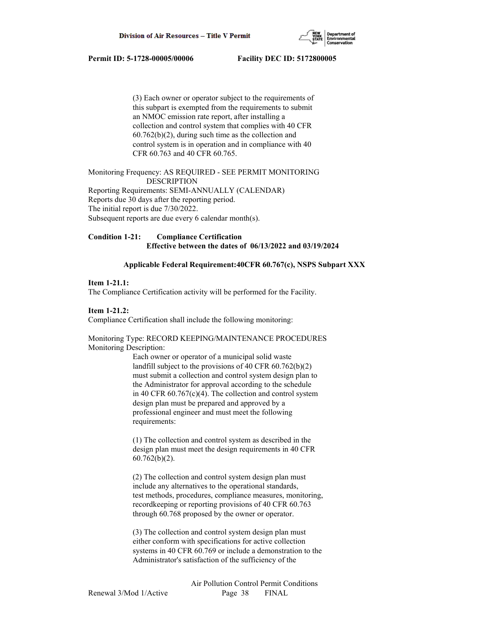

 (3) Each owner or operator subject to the requirements of this subpart is exempted from the requirements to submit an NMOC emission rate report, after installing a collection and control system that complies with 40 CFR 60.762(b)(2), during such time as the collection and control system is in operation and in compliance with 40 CFR 60.763 and 40 CFR 60.765.

Monitoring Frequency: AS REQUIRED - SEE PERMIT MONITORING DESCRIPTION Reporting Requirements: SEMI-ANNUALLY (CALENDAR) Reports due 30 days after the reporting period. The initial report is due 7/30/2022. Subsequent reports are due every 6 calendar month(s).

# **Condition 1-21: Compliance Certification Effective between the dates of 06/13/2022 and 03/19/2024**

# **Applicable Federal Requirement:40CFR 60.767(c), NSPS Subpart XXX**

#### **Item 1-21.1:**

The Compliance Certification activity will be performed for the Facility.

#### **Item 1-21.2:**

Compliance Certification shall include the following monitoring:

#### Monitoring Type: RECORD KEEPING/MAINTENANCE PROCEDURES Monitoring Description:

 Each owner or operator of a municipal solid waste landfill subject to the provisions of 40 CFR 60.762(b)(2) must submit a collection and control system design plan to the Administrator for approval according to the schedule in 40 CFR 60.767(c)(4). The collection and control system design plan must be prepared and approved by a professional engineer and must meet the following requirements:

 (1) The collection and control system as described in the design plan must meet the design requirements in 40 CFR  $60.762(b)(2)$ .

 (2) The collection and control system design plan must include any alternatives to the operational standards, test methods, procedures, compliance measures, monitoring, recordkeeping or reporting provisions of 40 CFR 60.763 through 60.768 proposed by the owner or operator.

 (3) The collection and control system design plan must either conform with specifications for active collection systems in 40 CFR 60.769 or include a demonstration to the Administrator's satisfaction of the sufficiency of the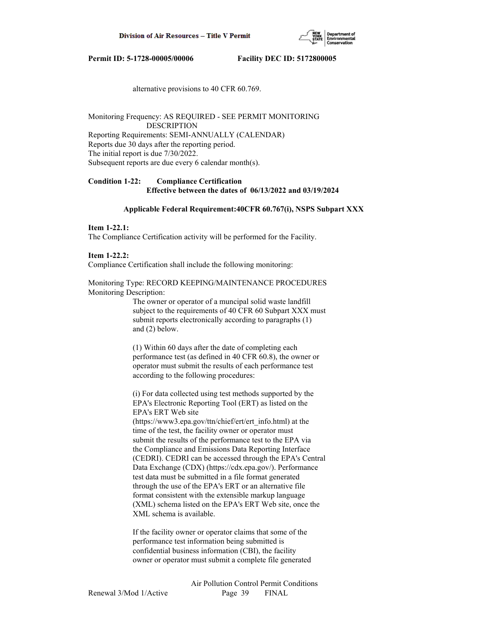

alternative provisions to 40 CFR 60.769.

Monitoring Frequency: AS REQUIRED - SEE PERMIT MONITORING DESCRIPTION Reporting Requirements: SEMI-ANNUALLY (CALENDAR) Reports due 30 days after the reporting period. The initial report is due 7/30/2022. Subsequent reports are due every 6 calendar month(s).

# **Condition 1-22: Compliance Certification Effective between the dates of 06/13/2022 and 03/19/2024**

#### **Applicable Federal Requirement:40CFR 60.767(i), NSPS Subpart XXX**

#### **Item 1-22.1:**

The Compliance Certification activity will be performed for the Facility.

# **Item 1-22.2:**

Compliance Certification shall include the following monitoring:

Monitoring Type: RECORD KEEPING/MAINTENANCE PROCEDURES Monitoring Description:

> The owner or operator of a muncipal solid waste landfill subject to the requirements of 40 CFR 60 Subpart XXX must submit reports electronically according to paragraphs (1) and (2) below.

 (1) Within 60 days after the date of completing each performance test (as defined in 40 CFR 60.8), the owner or operator must submit the results of each performance test according to the following procedures:

 (i) For data collected using test methods supported by the EPA's Electronic Reporting Tool (ERT) as listed on the EPA's ERT Web site

 (https://www3.epa.gov/ttn/chief/ert/ert\_info.html) at the time of the test, the facility owner or operator must submit the results of the performance test to the EPA via the Compliance and Emissions Data Reporting Interface (CEDRI). CEDRI can be accessed through the EPA's Central Data Exchange (CDX) (https://cdx.epa.gov/). Performance test data must be submitted in a file format generated through the use of the EPA's ERT or an alternative file format consistent with the extensible markup language (XML) schema listed on the EPA's ERT Web site, once the XML schema is available.

 If the facility owner or operator claims that some of the performance test information being submitted is confidential business information (CBI), the facility owner or operator must submit a complete file generated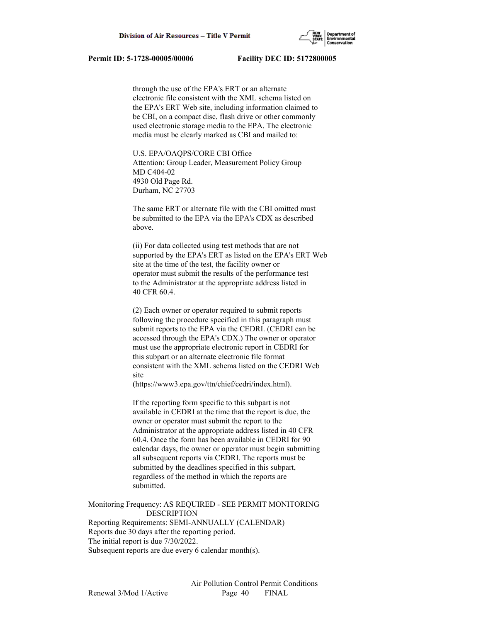

 through the use of the EPA's ERT or an alternate electronic file consistent with the XML schema listed on the EPA's ERT Web site, including information claimed to be CBI, on a compact disc, flash drive or other commonly used electronic storage media to the EPA. The electronic media must be clearly marked as CBI and mailed to:

 U.S. EPA/OAQPS/CORE CBI Office Attention: Group Leader, Measurement Policy Group MD C404-02 4930 Old Page Rd. Durham, NC 27703

 The same ERT or alternate file with the CBI omitted must be submitted to the EPA via the EPA's CDX as described above.

 (ii) For data collected using test methods that are not supported by the EPA's ERT as listed on the EPA's ERT Web site at the time of the test, the facility owner or operator must submit the results of the performance test to the Administrator at the appropriate address listed in 40 CFR 60.4.

 (2) Each owner or operator required to submit reports following the procedure specified in this paragraph must submit reports to the EPA via the CEDRI. (CEDRI can be accessed through the EPA's CDX.) The owner or operator must use the appropriate electronic report in CEDRI for this subpart or an alternate electronic file format consistent with the XML schema listed on the CEDRI Web site

(https://www3.epa.gov/ttn/chief/cedri/index.html).

 If the reporting form specific to this subpart is not available in CEDRI at the time that the report is due, the owner or operator must submit the report to the Administrator at the appropriate address listed in 40 CFR 60.4. Once the form has been available in CEDRI for 90 calendar days, the owner or operator must begin submitting all subsequent reports via CEDRI. The reports must be submitted by the deadlines specified in this subpart, regardless of the method in which the reports are submitted.

Monitoring Frequency: AS REQUIRED - SEE PERMIT MONITORING DESCRIPTION

Reporting Requirements: SEMI-ANNUALLY (CALENDAR) Reports due 30 days after the reporting period. The initial report is due 7/30/2022. Subsequent reports are due every 6 calendar month(s).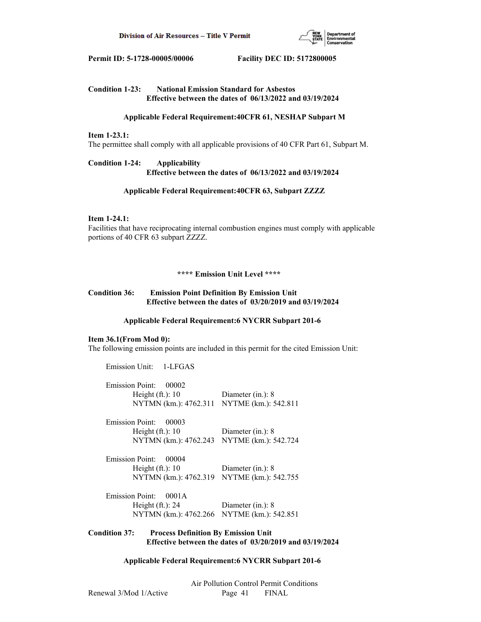

# **Condition 1-23: National Emission Standard for Asbestos Effective between the dates of 06/13/2022 and 03/19/2024**

# **Applicable Federal Requirement:40CFR 61, NESHAP Subpart M**

# **Item 1-23.1:**

The permittee shall comply with all applicable provisions of 40 CFR Part 61, Subpart M.

# **Condition 1-24: Applicability Effective between the dates of 06/13/2022 and 03/19/2024**

# **Applicable Federal Requirement:40CFR 63, Subpart ZZZZ**

# **Item 1-24.1:**

Facilities that have reciprocating internal combustion engines must comply with applicable portions of 40 CFR 63 subpart ZZZZ.

#### **\*\*\*\* Emission Unit Level \*\*\*\***

# **Condition 36: Emission Point Definition By Emission Unit Effective between the dates of 03/20/2019 and 03/19/2024**

#### **Applicable Federal Requirement:6 NYCRR Subpart 201-6**

# **Item 36.1(From Mod 0):**

The following emission points are included in this permit for the cited Emission Unit:

| Emission Unit: 1-LFGAS          |                                            |
|---------------------------------|--------------------------------------------|
| <b>Emission Point:</b><br>00002 |                                            |
| Height $(ft.)$ : 10             | Diameter $(in.)$ : 8                       |
|                                 | NYTMN (km.): 4762.311 NYTME (km.): 542.811 |
| Emission Point:<br>00003        |                                            |
| Height $(ft.)$ : 10             | Diameter $(in.)$ : 8                       |
| NYTMN (km.): 4762.243           | NYTME (km.): 542.724                       |
| <b>Emission Point:</b><br>00004 |                                            |
| Height $(ft.)$ : 10             | Diameter $(in.)$ : 8                       |
| NYTMN (km.): 4762.319           | NYTME (km.): 542.755                       |
| <b>Emission Point:</b><br>0001A |                                            |
| Height $(ft.)$ : 24             | Diameter $(in.)$ : 8                       |
|                                 | NYTMN (km.): 4762.266 NYTME (km.): 542.851 |

# **Condition 37: Process Definition By Emission Unit Effective between the dates of 03/20/2019 and 03/19/2024**

# **Applicable Federal Requirement:6 NYCRR Subpart 201-6**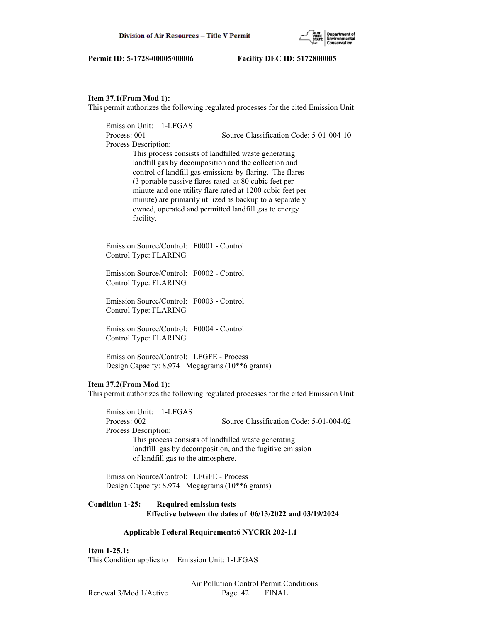

#### **Item 37.1(From Mod 1):**

This permit authorizes the following regulated processes for the cited Emission Unit:

 Emission Unit: 1-LFGAS Process: 001 Source Classification Code: 5-01-004-10 Process Description: This process consists of landfilled waste generating landfill gas by decomposition and the collection and control of landfill gas emissions by flaring. The flares (3 portable passive flares rated at 80 cubic feet per minute and one utility flare rated at 1200 cubic feet per minute) are primarily utilized as backup to a separately owned, operated and permitted landfill gas to energy facility. Emission Source/Control: F0001 - Control Control Type: FLARING Emission Source/Control: F0002 - Control Control Type: FLARING Emission Source/Control: F0003 - Control Control Type: FLARING Emission Source/Control: F0004 - Control Control Type: FLARING Emission Source/Control: LFGFE - Process Design Capacity: 8.974 Megagrams (10\*\*6 grams)

# **Item 37.2(From Mod 1):**

This permit authorizes the following regulated processes for the cited Emission Unit:

 Emission Unit: 1-LFGAS Process: 002 Source Classification Code: 5-01-004-02 Process Description: This process consists of landfilled waste generating landfill gas by decomposition, and the fugitive emission of landfill gas to the atmosphere.

 Emission Source/Control: LFGFE - Process Design Capacity: 8.974 Megagrams (10\*\*6 grams)

**Condition 1-25: Required emission tests Effective between the dates of 06/13/2022 and 03/19/2024**

# **Applicable Federal Requirement:6 NYCRR 202-1.1**

**Item 1-25.1:**

This Condition applies to Emission Unit: 1-LFGAS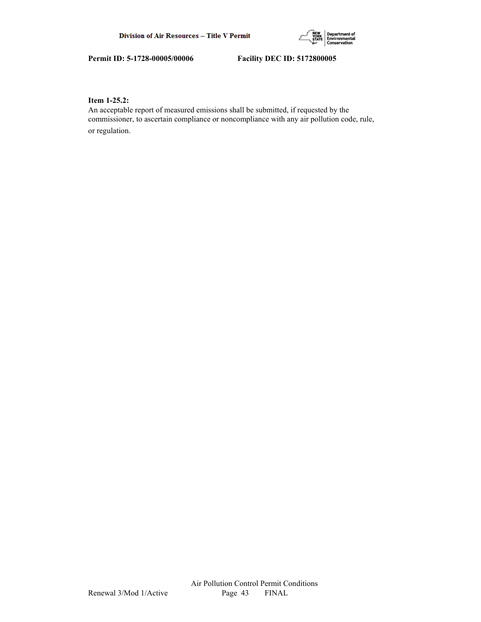

# **Item 1-25.2:**

An acceptable report of measured emissions shall be submitted, if requested by the commissioner, to ascertain compliance or noncompliance with any air pollution code, rule, or regulation.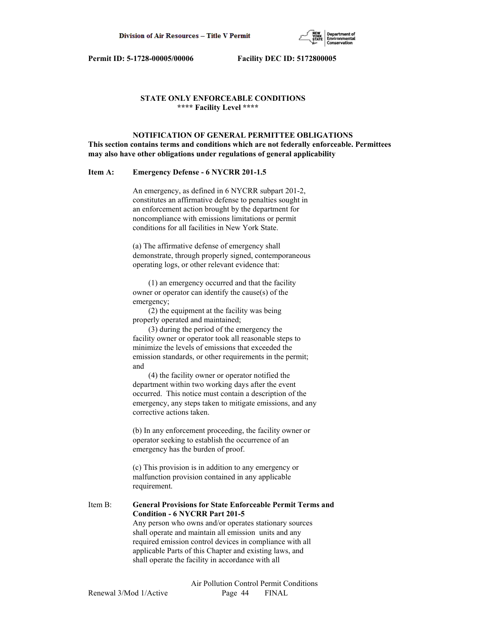

# **STATE ONLY ENFORCEABLE CONDITIONS \*\*\*\* Facility Level \*\*\*\***

 **NOTIFICATION OF GENERAL PERMITTEE OBLIGATIONS This section contains terms and conditions which are not federally enforceable. Permittees may also have other obligations under regulations of general applicability**

# **Item A: Emergency Defense - 6 NYCRR 201-1.5**

 An emergency, as defined in 6 NYCRR subpart 201-2, constitutes an affirmative defense to penalties sought in an enforcement action brought by the department for noncompliance with emissions limitations or permit conditions for all facilities in New York State.

 (a) The affirmative defense of emergency shall demonstrate, through properly signed, contemporaneous operating logs, or other relevant evidence that:

 (1) an emergency occurred and that the facility owner or operator can identify the cause(s) of the emergency;

 (2) the equipment at the facility was being properly operated and maintained;

 (3) during the period of the emergency the facility owner or operator took all reasonable steps to minimize the levels of emissions that exceeded the emission standards, or other requirements in the permit; and

 (4) the facility owner or operator notified the department within two working days after the event occurred. This notice must contain a description of the emergency, any steps taken to mitigate emissions, and any corrective actions taken.

 (b) In any enforcement proceeding, the facility owner or operator seeking to establish the occurrence of an emergency has the burden of proof.

 (c) This provision is in addition to any emergency or malfunction provision contained in any applicable requirement.

Item B: **General Provisions for State Enforceable Permit Terms and Condition - 6 NYCRR Part 201-5** Any person who owns and/or operates stationary sources shall operate and maintain all emission units and any required emission control devices in compliance with all applicable Parts of this Chapter and existing laws, and shall operate the facility in accordance with all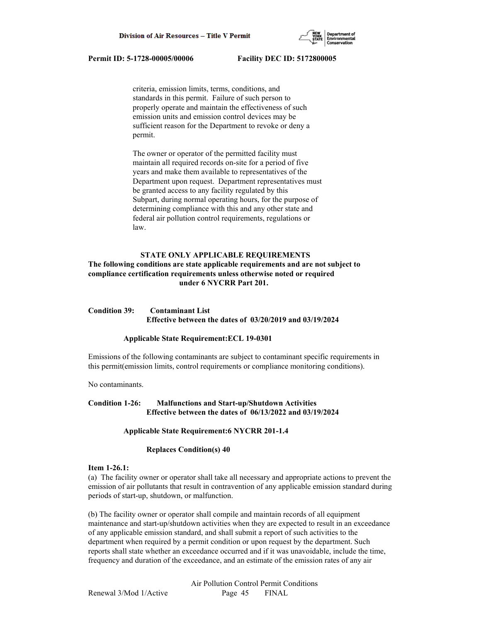

 criteria, emission limits, terms, conditions, and standards in this permit. Failure of such person to properly operate and maintain the effectiveness of such emission units and emission control devices may be sufficient reason for the Department to revoke or deny a permit.

 The owner or operator of the permitted facility must maintain all required records on-site for a period of five years and make them available to representatives of the Department upon request. Department representatives must be granted access to any facility regulated by this Subpart, during normal operating hours, for the purpose of determining compliance with this and any other state and federal air pollution control requirements, regulations or law.

# **STATE ONLY APPLICABLE REQUIREMENTS**

# **The following conditions are state applicable requirements and are not subject to compliance certification requirements unless otherwise noted or required under 6 NYCRR Part 201.**

# **Condition 39: Contaminant List Effective between the dates of 03/20/2019 and 03/19/2024**

#### **Applicable State Requirement:ECL 19-0301**

Emissions of the following contaminants are subject to contaminant specific requirements in this permit(emission limits, control requirements or compliance monitoring conditions).

No contaminants.

# **Condition 1-26: Malfunctions and Start-up/Shutdown Activities Effective between the dates of 06/13/2022 and 03/19/2024**

#### **Applicable State Requirement:6 NYCRR 201-1.4**

# **Replaces Condition(s) 40**

#### **Item 1-26.1:**

(a) The facility owner or operator shall take all necessary and appropriate actions to prevent the emission of air pollutants that result in contravention of any applicable emission standard during periods of start-up, shutdown, or malfunction.

(b) The facility owner or operator shall compile and maintain records of all equipment maintenance and start-up/shutdown activities when they are expected to result in an exceedance of any applicable emission standard, and shall submit a report of such activities to the department when required by a permit condition or upon request by the department. Such reports shall state whether an exceedance occurred and if it was unavoidable, include the time, frequency and duration of the exceedance, and an estimate of the emission rates of any air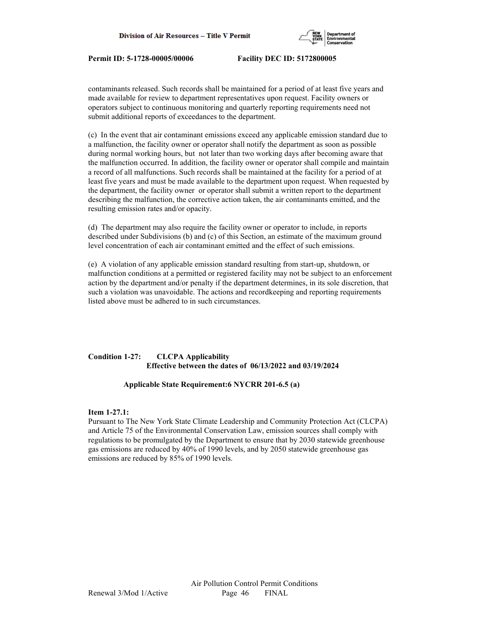

contaminants released. Such records shall be maintained for a period of at least five years and made available for review to department representatives upon request. Facility owners or operators subject to continuous monitoring and quarterly reporting requirements need not submit additional reports of exceedances to the department.

(c) In the event that air contaminant emissions exceed any applicable emission standard due to a malfunction, the facility owner or operator shall notify the department as soon as possible during normal working hours, but not later than two working days after becoming aware that the malfunction occurred. In addition, the facility owner or operator shall compile and maintain a record of all malfunctions. Such records shall be maintained at the facility for a period of at least five years and must be made available to the department upon request. When requested by the department, the facility owner or operator shall submit a written report to the department describing the malfunction, the corrective action taken, the air contaminants emitted, and the resulting emission rates and/or opacity.

(d) The department may also require the facility owner or operator to include, in reports described under Subdivisions (b) and (c) of this Section, an estimate of the maximum ground level concentration of each air contaminant emitted and the effect of such emissions.

(e) A violation of any applicable emission standard resulting from start-up, shutdown, or malfunction conditions at a permitted or registered facility may not be subject to an enforcement action by the department and/or penalty if the department determines, in its sole discretion, that such a violation was unavoidable. The actions and recordkeeping and reporting requirements listed above must be adhered to in such circumstances.

# **Condition 1-27: CLCPA Applicability Effective between the dates of 06/13/2022 and 03/19/2024**

# **Applicable State Requirement:6 NYCRR 201-6.5 (a)**

# **Item 1-27.1:**

Pursuant to The New York State Climate Leadership and Community Protection Act (CLCPA) and Article 75 of the Environmental Conservation Law, emission sources shall comply with regulations to be promulgated by the Department to ensure that by 2030 statewide greenhouse gas emissions are reduced by 40% of 1990 levels, and by 2050 statewide greenhouse gas emissions are reduced by 85% of 1990 levels.